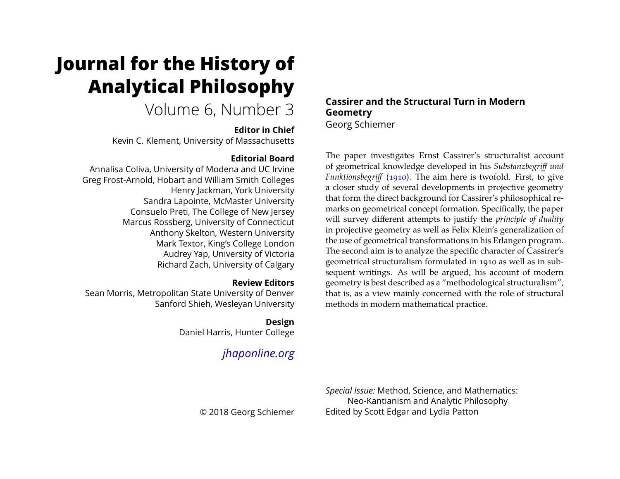# **Journal for the History of Analytical Philosophy**

# Volume 6, Number 3

## **Editor in Chief**

Kevin C. Klement, University of Massachusetts

# **Editorial Board**

Annalisa Coliva, University of Modena and UC Irvine Greg Frost-Arnold, Hobart and William Smith Colleges Henry Jackman, York University Sandra Lapointe, McMaster University Consuelo Preti, The College of New Jersey Marcus Rossberg, University of Connecticut Anthony Skelton, Western University Mark Textor, King's College London Audrey Yap, University of Victoria Richard Zach, University of Calgary

# **Review Editors**

Sean Morris, Metropolitan State University of Denver Sanford Shieh, Wesleyan University

# **Design**

Daniel Harris, Hunter College

# *[jhaponline.org](https://jhaponline.org)*

# **Cassirer and the Structural Turn in Modern Geometry** Georg Schiemer

The paper investigates Ernst Cassirer's structuralist account of geometrical knowledge developed in his *Substanzbegriff und Funktionsbegriff* [\(1910\)](#page-29-0). The aim here is twofold. First, to give a closer study of several developments in projective geometry that form the direct background for Cassirer's philosophical remarks on geometrical concept formation. Specifically, the paper will survey different attempts to justify the *principle of duality* in projective geometry as well as Felix Klein's generalization of the use of geometrical transformations in his Erlangen program. The second aim is to analyze the specific character of Cassirer's geometrical structuralism formulated in 1910 as well as in subsequent writings. As will be argued, his account of modern geometry is best described as a "methodological structuralism", that is, as a view mainly concerned with the role of structural methods in modern mathematical practice.

*Special Issue:* Method, Science, and Mathematics: Neo-Kantianism and Analytic Philosophy Edited by Scott Edgar and Lydia Patton

© 2018 Georg Schiemer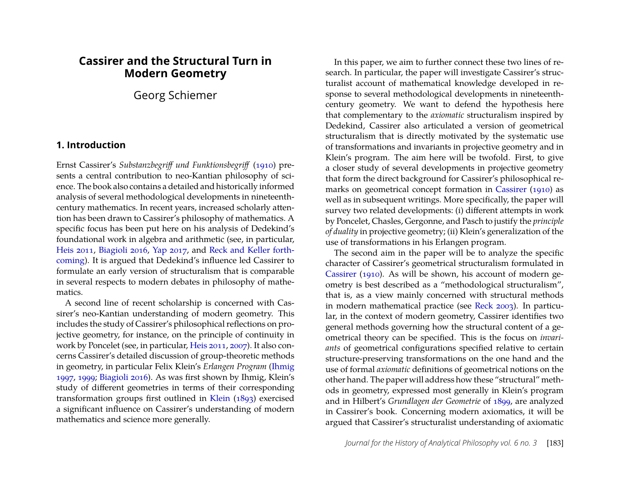# **Cassirer and the Structural Turn in Modern Geometry**

Georg Schiemer

#### **1. Introduction**

Ernst Cassirer's *Substanzbegriff und Funktionsbegriff* [\(1910\)](#page-29-0) presents a central contribution to neo-Kantian philosophy of science. The book also contains a detailed and historically informed analysis of several methodological developments in nineteenthcentury mathematics. In recent years, increased scholarly attention has been drawn to Cassirer's philosophy of mathematics. A specific focus has been put here on his analysis of Dedekind's foundational work in algebra and arithmetic (see, in particular, [Heis 2011,](#page-29-1) [Biagioli 2016,](#page-29-2) [Yap 2017,](#page-30-0) and [Reck and Keller forth](#page-30-1)[coming\)](#page-30-1). It is argued that Dedekind's influence led Cassirer to formulate an early version of structuralism that is comparable in several respects to modern debates in philosophy of mathematics.

A second line of recent scholarship is concerned with Cassirer's neo-Kantian understanding of modern geometry. This includes the study of Cassirer's philosophical reflections on projective geometry, for instance, on the principle of continuity in work by Poncelet (see, in particular, [Heis 2011,](#page-29-1) [2007\)](#page-29-3). It also concerns Cassirer's detailed discussion of group-theoretic methods in geometry, in particular Felix Klein's *Erlangen Program* [\(Ihmig](#page-30-2) [1997,](#page-30-2) [1999;](#page-30-3) [Biagioli 2016\)](#page-29-2). As was first shown by Ihmig, Klein's study of different geometries in terms of their corresponding transformation groups first outlined in [Klein](#page-30-4) [\(1893\)](#page-30-4) exercised a significant influence on Cassirer's understanding of modern mathematics and science more generally.

In this paper, we aim to further connect these two lines of research. In particular, the paper will investigate Cassirer's structuralist account of mathematical knowledge developed in response to several methodological developments in nineteenthcentury geometry. We want to defend the hypothesis here that complementary to the *axiomatic* structuralism inspired by Dedekind, Cassirer also articulated a version of geometrical structuralism that is directly motivated by the systematic use of transformations and invariants in projective geometry and in Klein's program. The aim here will be twofold. First, to give a closer study of several developments in projective geometry that form the direct background for Cassirer's philosophical remarks on geometrical concept formation in [Cassirer](#page-29-0) [\(1910\)](#page-29-0) as well as in subsequent writings. More specifically, the paper will survey two related developments: (i) different attempts in work by Poncelet, Chasles, Gergonne, and Pasch to justify the *principle of duality* in projective geometry; (ii) Klein's generalization of the use of transformations in his Erlangen program.

The second aim in the paper will be to analyze the specific character of Cassirer's geometrical structuralism formulated in [Cassirer](#page-29-0) [\(1910\)](#page-29-0). As will be shown, his account of modern geometry is best described as a "methodological structuralism", that is, as a view mainly concerned with structural methods in modern mathematical practice (see [Reck 2003\)](#page-30-5). In particular, in the context of modern geometry, Cassirer identifies two general methods governing how the structural content of a geometrical theory can be specified. This is the focus on *invariants* of geometrical configurations specified relative to certain structure-preserving transformations on the one hand and the use of formal *axiomatic* definitions of geometrical notions on the other hand. The paper will address how these "structural" methods in geometry, expressed most generally in Klein's program and in Hilbert's *Grundlagen der Geometrie* of [1899,](#page-30-6) are analyzed in Cassirer's book. Concerning modern axiomatics, it will be argued that Cassirer's structuralist understanding of axiomatic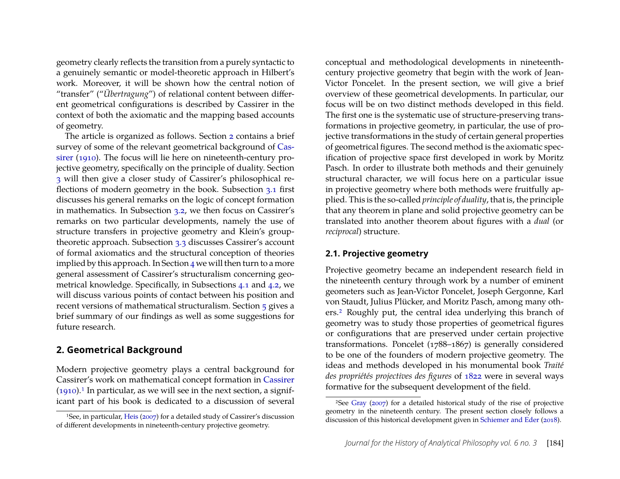geometry clearly reflects the transition from a purely syntactic to a genuinely semantic or model-theoretic approach in Hilbert's work. Moreover, it will be shown how the central notion of "transfer" ("*Übertragung*") of relational content between different geometrical configurations is described by Cassirer in the context of both the axiomatic and the mapping based accounts of geometry.

The article is organized as follows. Section [2](#page-2-0) contains a brief survey of some of the relevant geometrical background of [Cas](#page-29-0)[sirer](#page-29-0) [\(1910\)](#page-29-0). The focus will lie here on nineteenth-century projective geometry, specifically on the principle of duality. Section [3](#page-8-0) will then give a closer study of Cassirer's philosophical reflections of modern geometry in the book. Subsection [3.1](#page-8-1) first discusses his general remarks on the logic of concept formation in mathematics. In Subsection [3.2,](#page-10-0) we then focus on Cassirer's remarks on two particular developments, namely the use of structure transfers in projective geometry and Klein's grouptheoretic approach. Subsection [3.3](#page-16-0) discusses Cassirer's account of formal axiomatics and the structural conception of theories implied by this approach. In Section  $4$  we will then turn to a more general assessment of Cassirer's structuralism concerning geometrical knowledge. Specifically, in Subsections [4.1](#page-23-1) and [4.2,](#page-24-0) we will discuss various points of contact between his position and recent versions of mathematical structuralism. Section [5](#page-28-0) gives a brief summary of our findings as well as some suggestions for future research.

#### <span id="page-2-0"></span>**2. Geometrical Background**

Modern projective geometry plays a central background for Cassirer's work on mathematical concept formation in [Cassirer](#page-29-0)  $(1910).$  $(1910).$ <sup>[1](#page-2-1)</sup> In particular, as we will see in the next section, a significant part of his book is dedicated to a discussion of several conceptual and methodological developments in nineteenthcentury projective geometry that begin with the work of Jean-Victor Poncelet. In the present section, we will give a brief overview of these geometrical developments. In particular, our focus will be on two distinct methods developed in this field. The first one is the systematic use of structure-preserving transformations in projective geometry, in particular, the use of projective transformations in the study of certain general properties of geometrical figures. The second method is the axiomatic specification of projective space first developed in work by Moritz Pasch. In order to illustrate both methods and their genuinely structural character, we will focus here on a particular issue in projective geometry where both methods were fruitfully applied. This is the so-called *principle of duality*, that is, the principle that any theorem in plane and solid projective geometry can be translated into another theorem about figures with a *dual* (or *reciprocal*) structure.

#### **2.1. Projective geometry**

Projective geometry became an independent research field in the nineteenth century through work by a number of eminent geometers such as Jean-Victor Poncelet, Joseph Gergonne, Karl von Staudt, Julius Plücker, and Moritz Pasch, among many others.[2](#page-2-2) Roughly put, the central idea underlying this branch of geometry was to study those properties of geometrical figures or configurations that are preserved under certain projective transformations. Poncelet (1788–1867) is generally considered to be one of the founders of modern projective geometry. The ideas and methods developed in his monumental book *Traité des propriétés projectives des figures* of [1822](#page-30-7) were in several ways formative for the subsequent development of the field.

<span id="page-2-1"></span><sup>1</sup>See, in particular, [Heis](#page-29-3) [\(2007\)](#page-29-3) for a detailed study of Cassirer's discussion of different developments in nineteenth-century projective geometry.

<span id="page-2-2"></span><sup>2</sup>See [Gray](#page-29-4) [\(2007\)](#page-29-4) for a detailed historical study of the rise of projective geometry in the nineteenth century. The present section closely follows a discussion of this historical development given in [Schiemer and Eder](#page-30-8) [\(2018\)](#page-30-8).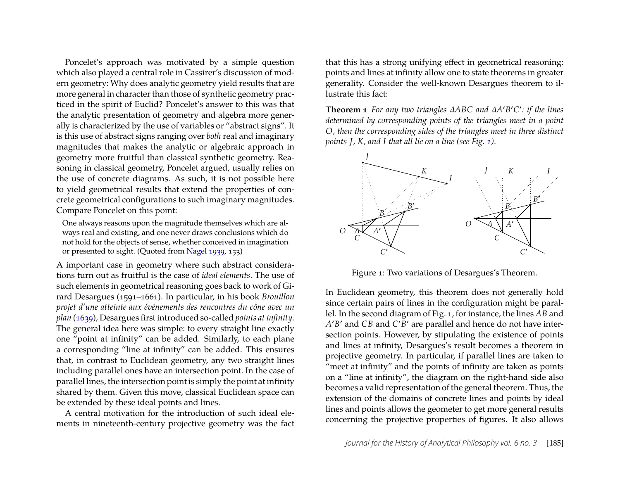Poncelet's approach was motivated by a simple question which also played a central role in Cassirer's discussion of modern geometry: Why does analytic geometry yield results that are more general in character than those of synthetic geometry practiced in the spirit of Euclid? Poncelet's answer to this was that the analytic presentation of geometry and algebra more generally is characterized by the use of variables or "abstract signs". It is this use of abstract signs ranging over *both* real and imaginary magnitudes that makes the analytic or algebraic approach in geometry more fruitful than classical synthetic geometry. Reasoning in classical geometry, Poncelet argued, usually relies on the use of concrete diagrams. As such, it is not possible here to yield geometrical results that extend the properties of concrete geometrical configurations to such imaginary magnitudes. Compare Poncelet on this point:

One always reasons upon the magnitude themselves which are always real and existing, and one never draws conclusions which do not hold for the objects of sense, whether conceived in imagination or presented to sight. (Quoted from [Nagel 1939,](#page-30-9) 153)

A important case in geometry where such abstract considerations turn out as fruitful is the case of *ideal elements*. The use of such elements in geometrical reasoning goes back to work of Girard Desargues (1591–1661). In particular, in his book *Brouillon projet d'une atteinte aux événements des rencontres du cône avec un plan* [\(1639\)](#page-29-5), Desargues first introduced so-called *points at infinity*. The general idea here was simple: to every straight line exactly one "point at infinity" can be added. Similarly, to each plane a corresponding "line at infinity" can be added. This ensures that, in contrast to Euclidean geometry, any two straight lines including parallel ones have an intersection point. In the case of parallel lines, the intersection point is simply the point at infinity shared by them. Given this move, classical Euclidean space can be extended by these ideal points and lines.

A central motivation for the introduction of such ideal elements in nineteenth-century projective geometry was the fact that this has a strong unifying effect in geometrical reasoning: points and lines at infinity allow one to state theorems in greater generality. Consider the well-known Desargues theorem to illustrate this fact:

**Theorem 1** *For any two triangles ∆ABC and ∆A* ′*B* ′*C* ′ *: if the lines determined by corresponding points of the triangles meet in a point O, then the corresponding sides of the triangles meet in three distinct points J, K, and I that all lie on a line (see Fig. [1\)](#page-3-0).*



Figure 1: Two variations of Desargues's Theorem.

<span id="page-3-0"></span>In Euclidean geometry, this theorem does not generally hold since certain pairs of lines in the configuration might be parallel. In the second diagram of Fig. [1,](#page-3-0) for instance, the lines *AB* and *A* ′*B* ′ and *CB* and *C* ′*B* ′ are parallel and hence do not have intersection points. However, by stipulating the existence of points and lines at infinity, Desargues's result becomes a theorem in projective geometry. In particular, if parallel lines are taken to "meet at infinity" and the points of infinity are taken as points on a "line at infinity", the diagram on the right-hand side also becomes a valid representation of the general theorem. Thus, the extension of the domains of concrete lines and points by ideal lines and points allows the geometer to get more general results concerning the projective properties of figures. It also allows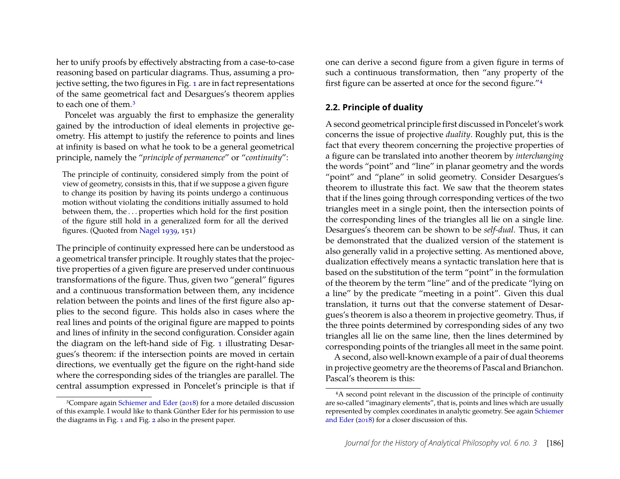her to unify proofs by effectively abstracting from a case-to-case reasoning based on particular diagrams. Thus, assuming a projective setting, the two figures in Fig. [1](#page-3-0) are in fact representations of the same geometrical fact and Desargues's theorem applies to each one of them.[3](#page-4-0)

Poncelet was arguably the first to emphasize the generality gained by the introduction of ideal elements in projective geometry. His attempt to justify the reference to points and lines at infinity is based on what he took to be a general geometrical principle, namely the "*principle of permanence*" or "*continuity*":

The principle of continuity, considered simply from the point of view of geometry, consists in this, that if we suppose a given figure to change its position by having its points undergo a continuous motion without violating the conditions initially assumed to hold between them, the . . . properties which hold for the first position of the figure still hold in a generalized form for all the derived figures. (Quoted from [Nagel 1939,](#page-30-9) 151)

The principle of continuity expressed here can be understood as a geometrical transfer principle. It roughly states that the projective properties of a given figure are preserved under continuous transformations of the figure. Thus, given two "general" figures and a continuous transformation between them, any incidence relation between the points and lines of the first figure also applies to the second figure. This holds also in cases where the real lines and points of the original figure are mapped to points and lines of infinity in the second configuration. Consider again the diagram on the left-hand side of Fig. [1](#page-3-0) illustrating Desargues's theorem: if the intersection points are moved in certain directions, we eventually get the figure on the right-hand side where the corresponding sides of the triangles are parallel. The central assumption expressed in Poncelet's principle is that if

<span id="page-4-0"></span>3Compare again [Schiemer and Eder](#page-30-8) [\(2018\)](#page-30-8) for a more detailed discussion of this example. I would like to thank Günther Eder for his permission to use the diagrams in Fig. [1](#page-3-0) and Fig. [2](#page-5-0) also in the present paper.

one can derive a second figure from a given figure in terms of such a continuous transformation, then "any property of the first figure can be asserted at once for the second figure."[4](#page-4-1)

#### **2.2. Principle of duality**

A second geometrical principle first discussed in Poncelet's work concerns the issue of projective *duality*. Roughly put, this is the fact that every theorem concerning the projective properties of a figure can be translated into another theorem by *interchanging* the words "point" and "line" in planar geometry and the words "point" and "plane" in solid geometry. Consider Desargues's theorem to illustrate this fact. We saw that the theorem states that if the lines going through corresponding vertices of the two triangles meet in a single point, then the intersection points of the corresponding lines of the triangles all lie on a single line. Desargues's theorem can be shown to be *self-dual*. Thus, it can be demonstrated that the dualized version of the statement is also generally valid in a projective setting. As mentioned above, dualization effectively means a syntactic translation here that is based on the substitution of the term "point" in the formulation of the theorem by the term "line" and of the predicate "lying on a line" by the predicate "meeting in a point". Given this dual translation, it turns out that the converse statement of Desargues's theorem is also a theorem in projective geometry. Thus, if the three points determined by corresponding sides of any two triangles all lie on the same line, then the lines determined by corresponding points of the triangles all meet in the same point.

A second, also well-known example of a pair of dual theorems in projective geometry are the theorems of Pascal and Brianchon. Pascal's theorem is this:

<span id="page-4-1"></span><sup>4</sup>A second point relevant in the discussion of the principle of continuity are so-called "imaginary elements", that is, points and lines which are usually represented by complex coordinates in analytic geometry. See again [Schiemer](#page-30-8) [and Eder](#page-30-8) [\(2018\)](#page-30-8) for a closer discussion of this.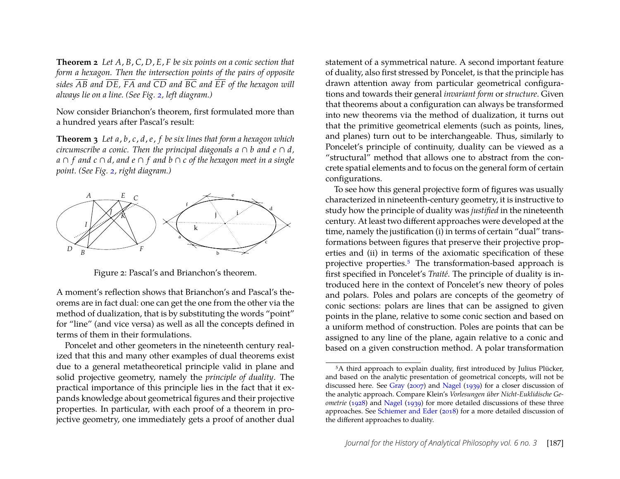**Theorem 2** *Let A*, *B*, *C*, *D*, *E*, *F be six points on a conic section that form a hexagon. Then the intersection points of the pairs of opposite sides AB and DE, FA and CD and BC and EF of the hexagon will always lie on a line. (See Fig. [2,](#page-5-0) left diagram.)*

Now consider Brianchon's theorem, first formulated more than a hundred years after Pascal's result:

**Theorem 3** *Let a*, *b*, *c*, *d*, *e*, *f be six lines that form a hexagon which circumscribe a conic. Then the principal diagonals*  $a \cap b$  *and*  $e \cap d$ , *a* ∩ *f and c* ∩ *d, and e* ∩ *f and b* ∩ *c of the hexagon meet in a single point. (See Fig. [2,](#page-5-0) right diagram.)*



Figure 2: Pascal's and Brianchon's theorem.

<span id="page-5-0"></span>A moment's reflection shows that Brianchon's and Pascal's theorems are in fact dual: one can get the one from the other via the method of dualization, that is by substituting the words "point" for "line" (and vice versa) as well as all the concepts defined in terms of them in their formulations.

Poncelet and other geometers in the nineteenth century realized that this and many other examples of dual theorems exist due to a general metatheoretical principle valid in plane and solid projective geometry, namely the *principle of duality*. The practical importance of this principle lies in the fact that it expands knowledge about geometrical figures and their projective properties. In particular, with each proof of a theorem in projective geometry, one immediately gets a proof of another dual statement of a symmetrical nature. A second important feature of duality, also first stressed by Poncelet, is that the principle has drawn attention away from particular geometrical configurations and towards their general *invariant form* or *structure*. Given that theorems about a configuration can always be transformed into new theorems via the method of dualization, it turns out that the primitive geometrical elements (such as points, lines, and planes) turn out to be interchangeable. Thus, similarly to Poncelet's principle of continuity, duality can be viewed as a "structural" method that allows one to abstract from the concrete spatial elements and to focus on the general form of certain configurations.

To see how this general projective form of figures was usually characterized in nineteenth-century geometry, it is instructive to study how the principle of duality was *justified* in the nineteenth century. At least two different approaches were developed at the time, namely the justification (i) in terms of certain "dual" transformations between figures that preserve their projective properties and (ii) in terms of the axiomatic specification of these projective properties.[5](#page-5-1) The transformation-based approach is first specified in Poncelet's *Traité*. The principle of duality is introduced here in the context of Poncelet's new theory of poles and polars. Poles and polars are concepts of the geometry of conic sections: polars are lines that can be assigned to given points in the plane, relative to some conic section and based on a uniform method of construction. Poles are points that can be assigned to any line of the plane, again relative to a conic and based on a given construction method. A polar transformation

<span id="page-5-1"></span><sup>&</sup>lt;sup>5</sup>A third approach to explain duality, first introduced by Julius Plücker, and based on the analytic presentation of geometrical concepts, will not be discussed here. See [Gray](#page-29-4) [\(2007\)](#page-29-4) and [Nagel](#page-30-9) [\(1939\)](#page-30-9) for a closer discussion of the analytic approach. Compare Klein's *Vorlesungen über Nicht-Euklidische Geometrie* [\(1928\)](#page-30-10) and [Nagel](#page-30-9) [\(1939\)](#page-30-9) for more detailed discussions of these three approaches. See [Schiemer and Eder](#page-30-8) [\(2018\)](#page-30-8) for a more detailed discussion of the different approaches to duality.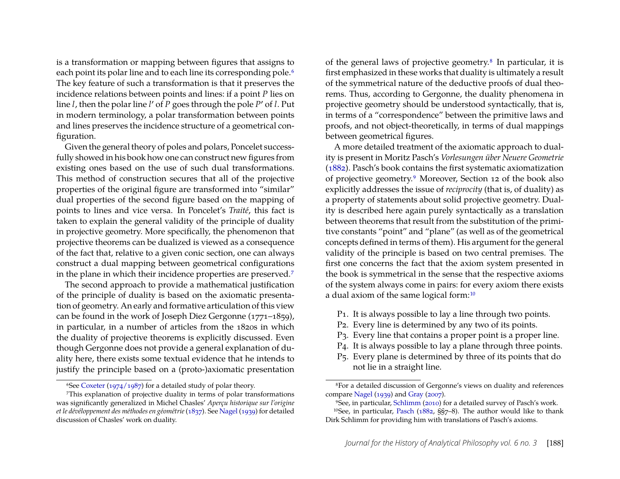is a transformation or mapping between figures that assigns to each point its polar line and to each line its corresponding pole.<sup>[6](#page-6-0)</sup> The key feature of such a transformation is that it preserves the incidence relations between points and lines: if a point *P* lies on line *l*, then the polar line *l* ′ of *P* goes through the pole *P* ′ of *l*. Put in modern terminology, a polar transformation between points and lines preserves the incidence structure of a geometrical configuration.

Given the general theory of poles and polars, Poncelet successfully showed in his book how one can construct new figures from existing ones based on the use of such dual transformations. This method of construction secures that all of the projective properties of the original figure are transformed into "similar" dual properties of the second figure based on the mapping of points to lines and vice versa. In Poncelet's *Traité*, this fact is taken to explain the general validity of the principle of duality in projective geometry. More specifically, the phenomenon that projective theorems can be dualized is viewed as a consequence of the fact that, relative to a given conic section, one can always construct a dual mapping between geometrical configurations in the plane in which their incidence properties are preserved.[7](#page-6-1)

The second approach to provide a mathematical justification of the principle of duality is based on the axiomatic presentation of geometry. An early and formative articulation of this view can be found in the work of Joseph Diez Gergonne (1771–1859), in particular, in a number of articles from the 1820s in which the duality of projective theorems is explicitly discussed. Even though Gergonne does not provide a general explanation of duality here, there exists some textual evidence that he intends to justify the principle based on a (proto-)axiomatic presentation of the general laws of projective geometry.[8](#page-6-2) In particular, it is first emphasized in these works that duality is ultimately a result of the symmetrical nature of the deductive proofs of dual theorems. Thus, according to Gergonne, the duality phenomena in projective geometry should be understood syntactically, that is, in terms of a "correspondence" between the primitive laws and proofs, and not object-theoretically, in terms of dual mappings between geometrical figures.

A more detailed treatment of the axiomatic approach to duality is present in Moritz Pasch's *Vorlesungen über Neuere Geometrie* [\(1882\)](#page-30-11). Pasch's book contains the first systematic axiomatization of projective geometry.[9](#page-6-3) Moreover, Section 12 of the book also explicitly addresses the issue of *reciprocity* (that is, of duality) as a property of statements about solid projective geometry. Duality is described here again purely syntactically as a translation between theorems that result from the substitution of the primitive constants "point" and "plane" (as well as of the geometrical concepts defined in terms of them). His argument for the general validity of the principle is based on two central premises. The first one concerns the fact that the axiom system presented in the book is symmetrical in the sense that the respective axioms of the system always come in pairs: for every axiom there exists a dual axiom of the same logical form:[10](#page-6-4)

- P1. It is always possible to lay a line through two points.
- P2. Every line is determined by any two of its points.
- P3. Every line that contains a proper point is a proper line.
- P4. It is always possible to lay a plane through three points.
- P5. Every plane is determined by three of its points that do not lie in a straight line.

<span id="page-6-1"></span><span id="page-6-0"></span><sup>&</sup>lt;sup>6</sup>See [Coxeter](#page-29-6) [\(1974/1987\)](#page-29-6) for a detailed study of polar theory.

<sup>7</sup>This explanation of projective duality in terms of polar transformations was significantly generalized in Michel Chasles' *Aperçu historique sur l'origine et le dévéloppement des méthodes en géométrie*[\(1837\)](#page-29-7). See [Nagel](#page-30-9) [\(1939\)](#page-30-9) for detailed discussion of Chasles' work on duality.

<span id="page-6-2"></span><sup>8</sup>For a detailed discussion of Gergonne's views on duality and references compare [Nagel](#page-30-9) [\(1939\)](#page-30-9) and [Gray](#page-29-4) [\(2007\)](#page-29-4).

<span id="page-6-4"></span><span id="page-6-3"></span><sup>9</sup>See, in particular, [Schlimm](#page-30-12) [\(2010\)](#page-30-12) for a detailed survey of Pasch's work. 10See, in particular, [Pasch](#page-30-11) [\(1882,](#page-30-11) §§7–8). The author would like to thank Dirk Schlimm for providing him with translations of Pasch's axioms.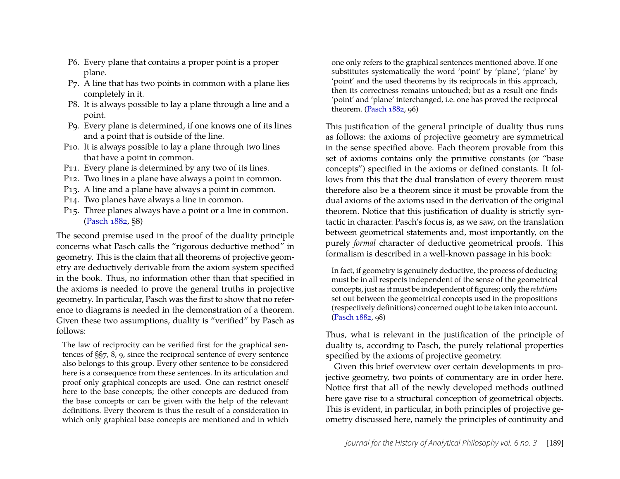- P6. Every plane that contains a proper point is a proper plane.
- P7. A line that has two points in common with a plane lies completely in it.
- P8. It is always possible to lay a plane through a line and a point.
- P9. Every plane is determined, if one knows one of its lines and a point that is outside of the line.
- P10. It is always possible to lay a plane through two lines that have a point in common.
- P11. Every plane is determined by any two of its lines.
- P12. Two lines in a plane have always a point in common.
- P13. A line and a plane have always a point in common.
- P14. Two planes have always a line in common.
- P15. Three planes always have a point or a line in common. [\(Pasch 1882,](#page-30-11) §8)

The second premise used in the proof of the duality principle concerns what Pasch calls the "rigorous deductive method" in geometry. This is the claim that all theorems of projective geometry are deductively derivable from the axiom system specified in the book. Thus, no information other than that specified in the axioms is needed to prove the general truths in projective geometry. In particular, Pasch was the first to show that no reference to diagrams is needed in the demonstration of a theorem. Given these two assumptions, duality is "verified" by Pasch as follows:

The law of reciprocity can be verified first for the graphical sentences of §§7, 8, 9, since the reciprocal sentence of every sentence also belongs to this group. Every other sentence to be considered here is a consequence from these sentences. In its articulation and proof only graphical concepts are used. One can restrict oneself here to the base concepts; the other concepts are deduced from the base concepts or can be given with the help of the relevant definitions. Every theorem is thus the result of a consideration in which only graphical base concepts are mentioned and in which one only refers to the graphical sentences mentioned above. If one substitutes systematically the word 'point' by 'plane', 'plane' by 'point' and the used theorems by its reciprocals in this approach, then its correctness remains untouched; but as a result one finds 'point' and 'plane' interchanged, i.e. one has proved the reciprocal theorem. [\(Pasch 1882,](#page-30-11) 96)

This justification of the general principle of duality thus runs as follows: the axioms of projective geometry are symmetrical in the sense specified above. Each theorem provable from this set of axioms contains only the primitive constants (or "base concepts") specified in the axioms or defined constants. It follows from this that the dual translation of every theorem must therefore also be a theorem since it must be provable from the dual axioms of the axioms used in the derivation of the original theorem. Notice that this justification of duality is strictly syntactic in character. Pasch's focus is, as we saw, on the translation between geometrical statements and, most importantly, on the purely *formal* character of deductive geometrical proofs. This formalism is described in a well-known passage in his book:

In fact, if geometry is genuinely deductive, the process of deducing must be in all respects independent of the sense of the geometrical concepts, just as it must be independent of figures; only the *relations* set out between the geometrical concepts used in the propositions (respectively definitions) concerned ought to be taken into account. [\(Pasch 1882,](#page-30-11) 98)

Thus, what is relevant in the justification of the principle of duality is, according to Pasch, the purely relational properties specified by the axioms of projective geometry.

Given this brief overview over certain developments in projective geometry, two points of commentary are in order here. Notice first that all of the newly developed methods outlined here gave rise to a structural conception of geometrical objects. This is evident, in particular, in both principles of projective geometry discussed here, namely the principles of continuity and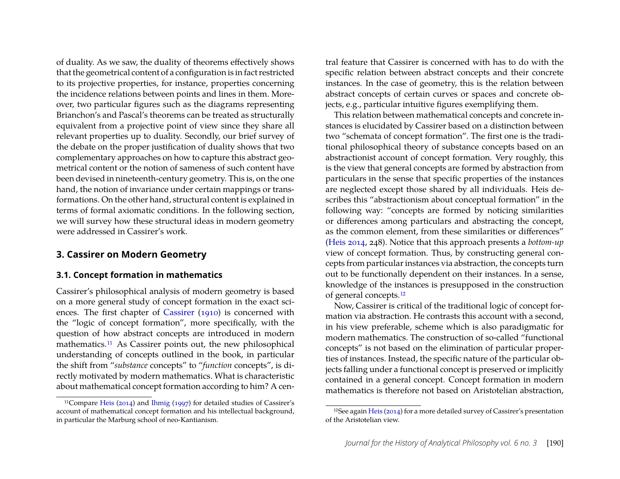of duality. As we saw, the duality of theorems effectively shows that the geometrical content of a configuration is in fact restricted to its projective properties, for instance, properties concerning the incidence relations between points and lines in them. Moreover, two particular figures such as the diagrams representing Brianchon's and Pascal's theorems can be treated as structurally equivalent from a projective point of view since they share all relevant properties up to duality. Secondly, our brief survey of the debate on the proper justification of duality shows that two complementary approaches on how to capture this abstract geometrical content or the notion of sameness of such content have been devised in nineteenth-century geometry. This is, on the one hand, the notion of invariance under certain mappings or transformations. On the other hand, structural content is explained in terms of formal axiomatic conditions. In the following section, we will survey how these structural ideas in modern geometry were addressed in Cassirer's work.

#### <span id="page-8-0"></span>**3. Cassirer on Modern Geometry**

#### <span id="page-8-1"></span>**3.1. Concept formation in mathematics**

Cassirer's philosophical analysis of modern geometry is based on a more general study of concept formation in the exact sciences. The first chapter of [Cassirer](#page-29-0) [\(1910\)](#page-29-0) is concerned with the "logic of concept formation", more specifically, with the question of how abstract concepts are introduced in modern mathematics.[11](#page-8-2) As Cassirer points out, the new philosophical understanding of concepts outlined in the book, in particular the shift from "*substance* concepts" to "*function* concepts", is directly motivated by modern mathematics. What is characteristic about mathematical concept formation according to him? A central feature that Cassirer is concerned with has to do with the specific relation between abstract concepts and their concrete instances. In the case of geometry, this is the relation between abstract concepts of certain curves or spaces and concrete objects, e.g., particular intuitive figures exemplifying them.

This relation between mathematical concepts and concrete instances is elucidated by Cassirer based on a distinction between two "schemata of concept formation". The first one is the traditional philosophical theory of substance concepts based on an abstractionist account of concept formation. Very roughly, this is the view that general concepts are formed by abstraction from particulars in the sense that specific properties of the instances are neglected except those shared by all individuals. Heis describes this "abstractionism about conceptual formation" in the following way: "concepts are formed by noticing similarities or differences among particulars and abstracting the concept, as the common element, from these similarities or differences" [\(Heis 2014,](#page-30-13) 248). Notice that this approach presents a *bottom-up* view of concept formation. Thus, by constructing general concepts from particular instances via abstraction, the concepts turn out to be functionally dependent on their instances. In a sense, knowledge of the instances is presupposed in the construction of general concepts.[12](#page-8-3)

Now, Cassirer is critical of the traditional logic of concept formation via abstraction. He contrasts this account with a second, in his view preferable, scheme which is also paradigmatic for modern mathematics. The construction of so-called "functional concepts" is not based on the elimination of particular properties of instances. Instead, the specific nature of the particular objects falling under a functional concept is preserved or implicitly contained in a general concept. Concept formation in modern mathematics is therefore not based on Aristotelian abstraction,

<span id="page-8-2"></span><sup>11</sup>Compare [Heis](#page-30-13) [\(2014\)](#page-30-13) and [Ihmig](#page-30-2) [\(1997\)](#page-30-2) for detailed studies of Cassirer's account of mathematical concept formation and his intellectual background, in particular the Marburg school of neo-Kantianism.

<span id="page-8-3"></span><sup>12</sup>See again [Heis](#page-30-13) [\(2014\)](#page-30-13) for a more detailed survey of Cassirer's presentation of the Aristotelian view.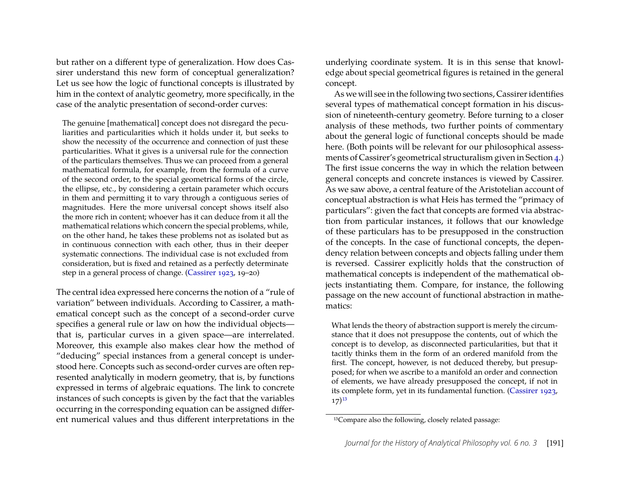but rather on a different type of generalization. How does Cassirer understand this new form of conceptual generalization? Let us see how the logic of functional concepts is illustrated by him in the context of analytic geometry, more specifically, in the case of the analytic presentation of second-order curves:

The genuine [mathematical] concept does not disregard the peculiarities and particularities which it holds under it, but seeks to show the necessity of the occurrence and connection of just these particularities. What it gives is a universal rule for the connection of the particulars themselves. Thus we can proceed from a general mathematical formula, for example, from the formula of a curve of the second order, to the special geometrical forms of the circle, the ellipse, etc., by considering a certain parameter which occurs in them and permitting it to vary through a contiguous series of magnitudes. Here the more universal concept shows itself also the more rich in content; whoever has it can deduce from it all the mathematical relations which concern the special problems, while, on the other hand, he takes these problems not as isolated but as in continuous connection with each other, thus in their deeper systematic connections. The individual case is not excluded from consideration, but is fixed and retained as a perfectly determinate step in a general process of change. [\(Cassirer 1923,](#page-29-8) 19–20)

The central idea expressed here concerns the notion of a "rule of variation" between individuals. According to Cassirer, a mathematical concept such as the concept of a second-order curve specifies a general rule or law on how the individual objects that is, particular curves in a given space—are interrelated. Moreover, this example also makes clear how the method of "deducing" special instances from a general concept is understood here. Concepts such as second-order curves are often represented analytically in modern geometry, that is, by functions expressed in terms of algebraic equations. The link to concrete instances of such concepts is given by the fact that the variables occurring in the corresponding equation can be assigned different numerical values and thus different interpretations in the

underlying coordinate system. It is in this sense that knowledge about special geometrical figures is retained in the general concept.

As we will see in the following two sections, Cassirer identifies several types of mathematical concept formation in his discussion of nineteenth-century geometry. Before turning to a closer analysis of these methods, two further points of commentary about the general logic of functional concepts should be made here. (Both points will be relevant for our philosophical assessments of Cassirer's geometrical structuralism given in Section [4.](#page-23-0)) The first issue concerns the way in which the relation between general concepts and concrete instances is viewed by Cassirer. As we saw above, a central feature of the Aristotelian account of conceptual abstraction is what Heis has termed the "primacy of particulars": given the fact that concepts are formed via abstraction from particular instances, it follows that our knowledge of these particulars has to be presupposed in the construction of the concepts. In the case of functional concepts, the dependency relation between concepts and objects falling under them is reversed. Cassirer explicitly holds that the construction of mathematical concepts is independent of the mathematical objects instantiating them. Compare, for instance, the following passage on the new account of functional abstraction in mathematics:

What lends the theory of abstraction support is merely the circumstance that it does not presuppose the contents, out of which the concept is to develop, as disconnected particularities, but that it tacitly thinks them in the form of an ordered manifold from the first. The concept, however, is not deduced thereby, but presupposed; for when we ascribe to a manifold an order and connection of elements, we have already presupposed the concept, if not in its complete form, yet in its fundamental function. [\(Cassirer 1923,](#page-29-8)  $17)^{13}$  $17)^{13}$  $17)^{13}$ 

<span id="page-9-0"></span><sup>13</sup>Compare also the following, closely related passage: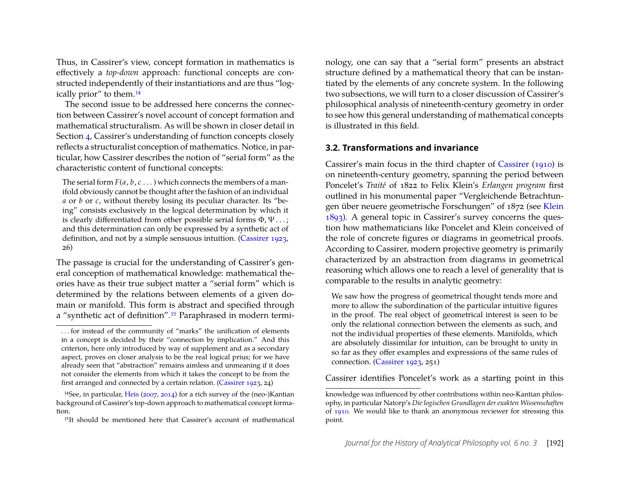Thus, in Cassirer's view, concept formation in mathematics is effectively a *top-down* approach: functional concepts are constructed independently of their instantiations and are thus "logically prior" to them.[14](#page-10-1)

The second issue to be addressed here concerns the connection between Cassirer's novel account of concept formation and mathematical structuralism. As will be shown in closer detail in Section [4,](#page-23-0) Cassirer's understanding of function concepts closely reflects a structuralist conception of mathematics. Notice, in particular, how Cassirer describes the notion of "serial form" as the characteristic content of functional concepts:

The serial form  $F(a, b, c \ldots)$  which connects the members of a manifold obviously cannot be thought after the fashion of an individual *a* or *b* or *c*, without thereby losing its peculiar character. Its "being" consists exclusively in the logical determination by which it is clearly differentiated from other possible serial forms  $\Phi$ ,  $\Psi$ ...; and this determination can only be expressed by a synthetic act of definition, and not by a simple sensuous intuition. [\(Cassirer 1923,](#page-29-8) 26)

The passage is crucial for the understanding of Cassirer's general conception of mathematical knowledge: mathematical theories have as their true subject matter a "serial form" which is determined by the relations between elements of a given domain or manifold. This form is abstract and specified through a "synthetic act of definition".[15](#page-10-2) Paraphrased in modern terminology, one can say that a "serial form" presents an abstract structure defined by a mathematical theory that can be instantiated by the elements of any concrete system. In the following two subsections, we will turn to a closer discussion of Cassirer's philosophical analysis of nineteenth-century geometry in order to see how this general understanding of mathematical concepts is illustrated in this field.

#### <span id="page-10-0"></span>**3.2. Transformations and invariance**

Cassirer's main focus in the third chapter of [Cassirer](#page-29-0) [\(1910\)](#page-29-0) is on nineteenth-century geometry, spanning the period between Poncelet's *Traité* of 1822 to Felix Klein's *Erlangen program* first outlined in his monumental paper "Vergleichende Betrachtungen über neuere geometrische Forschungen" of 1872 (see [Klein](#page-30-4) [1893\)](#page-30-4). A general topic in Cassirer's survey concerns the question how mathematicians like Poncelet and Klein conceived of the role of concrete figures or diagrams in geometrical proofs. According to Cassirer, modern projective geometry is primarily characterized by an abstraction from diagrams in geometrical reasoning which allows one to reach a level of generality that is comparable to the results in analytic geometry:

We saw how the progress of geometrical thought tends more and more to allow the subordination of the particular intuitive figures in the proof. The real object of geometrical interest is seen to be only the relational connection between the elements as such, and not the individual properties of these elements. Manifolds, which are absolutely dissimilar for intuition, can be brought to unity in so far as they offer examples and expressions of the same rules of connection. [\(Cassirer 1923,](#page-29-8) 251)

Cassirer identifies Poncelet's work as a starting point in this

<sup>. . .</sup> for instead of the community of "marks" the unification of elements in a concept is decided by their "connection by implication." And this criterion, here only introduced by way of supplement and as a secondary aspect, proves on closer analysis to be the real logical prius; for we have already seen that "abstraction" remains aimless and unmeaning if it does not consider the elements from which it takes the concept to be from the first arranged and connected by a certain relation. [\(Cassirer 1923,](#page-29-8) 24)

<span id="page-10-1"></span><sup>14</sup>See, in particular, [Heis](#page-29-3) [\(2007,](#page-29-3) [2014\)](#page-30-13) for a rich survey of the (neo-)Kantian background of Cassirer's top-down approach to mathematical concept formation.

<span id="page-10-2"></span><sup>15</sup>It should be mentioned here that Cassirer's account of mathematical

knowledge was influenced by other contributions within neo-Kantian philosophy, in particular Natorp's *Die logischen Grundlagen der exakten Wissenschaften* of [1910.](#page-30-14) We would like to thank an anonymous reviewer for stressing this point.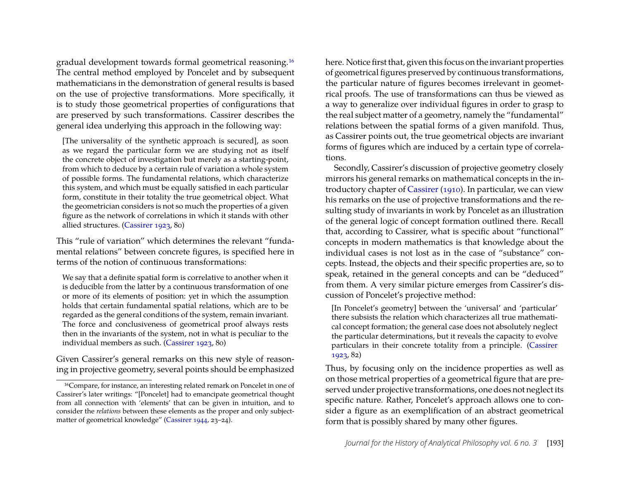gradual development towards formal geometrical reasoning.[16](#page-11-0) The central method employed by Poncelet and by subsequent mathematicians in the demonstration of general results is based on the use of projective transformations. More specifically, it is to study those geometrical properties of configurations that are preserved by such transformations. Cassirer describes the general idea underlying this approach in the following way:

[The universality of the synthetic approach is secured], as soon as we regard the particular form we are studying not as itself the concrete object of investigation but merely as a starting-point, from which to deduce by a certain rule of variation a whole system of possible forms. The fundamental relations, which characterize this system, and which must be equally satisfied in each particular form, constitute in their totality the true geometrical object. What the geometrician considers is not so much the properties of a given figure as the network of correlations in which it stands with other allied structures. [\(Cassirer 1923,](#page-29-8) 80)

This "rule of variation" which determines the relevant "fundamental relations" between concrete figures, is specified here in terms of the notion of continuous transformations:

We say that a definite spatial form is correlative to another when it is deducible from the latter by a continuous transformation of one or more of its elements of position: yet in which the assumption holds that certain fundamental spatial relations, which are to be regarded as the general conditions of the system, remain invariant. The force and conclusiveness of geometrical proof always rests then in the invariants of the system, not in what is peculiar to the individual members as such. [\(Cassirer 1923,](#page-29-8) 80)

Given Cassirer's general remarks on this new style of reasoning in projective geometry, several points should be emphasized here. Notice first that, given this focus on the invariant properties of geometrical figures preserved by continuous transformations, the particular nature of figures becomes irrelevant in geometrical proofs. The use of transformations can thus be viewed as a way to generalize over individual figures in order to grasp to the real subject matter of a geometry, namely the "fundamental" relations between the spatial forms of a given manifold. Thus, as Cassirer points out, the true geometrical objects are invariant forms of figures which are induced by a certain type of correlations.

Secondly, Cassirer's discussion of projective geometry closely mirrors his general remarks on mathematical concepts in the introductory chapter of [Cassirer](#page-29-0) [\(1910\)](#page-29-0). In particular, we can view his remarks on the use of projective transformations and the resulting study of invariants in work by Poncelet as an illustration of the general logic of concept formation outlined there. Recall that, according to Cassirer, what is specific about "functional" concepts in modern mathematics is that knowledge about the individual cases is not lost as in the case of "substance" concepts. Instead, the objects and their specific properties are, so to speak, retained in the general concepts and can be "deduced" from them. A very similar picture emerges from Cassirer's discussion of Poncelet's projective method:

[In Poncelet's geometry] between the 'universal' and 'particular' there subsists the relation which characterizes all true mathematical concept formation; the general case does not absolutely neglect the particular determinations, but it reveals the capacity to evolve particulars in their concrete totality from a principle. [\(Cassirer](#page-29-8) [1923,](#page-29-8) 82)

Thus, by focusing only on the incidence properties as well as on those metrical properties of a geometrical figure that are preserved under projective transformations, one does not neglect its specific nature. Rather, Poncelet's approach allows one to consider a figure as an exemplification of an abstract geometrical form that is possibly shared by many other figures.

<span id="page-11-0"></span><sup>16</sup>Compare, for instance, an interesting related remark on Poncelet in one of Cassirer's later writings: "[Poncelet] had to emancipate geometrical thought from all connection with 'elements' that can be given in intuition, and to consider the *relations* between these elements as the proper and only subjectmatter of geometrical knowledge" [\(Cassirer 1944,](#page-29-9) 23–24).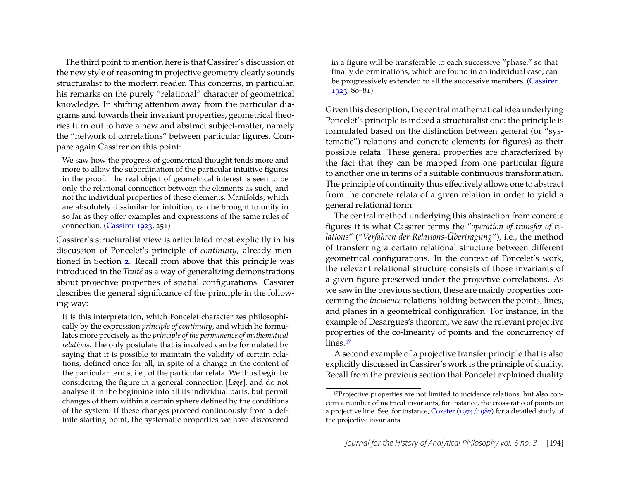The third point to mention here is that Cassirer's discussion of the new style of reasoning in projective geometry clearly sounds structuralist to the modern reader. This concerns, in particular, his remarks on the purely "relational" character of geometrical knowledge. In shifting attention away from the particular diagrams and towards their invariant properties, geometrical theories turn out to have a new and abstract subject-matter, namely the "network of correlations" between particular figures. Compare again Cassirer on this point:

We saw how the progress of geometrical thought tends more and more to allow the subordination of the particular intuitive figures in the proof. The real object of geometrical interest is seen to be only the relational connection between the elements as such, and not the individual properties of these elements. Manifolds, which are absolutely dissimilar for intuition, can be brought to unity in so far as they offer examples and expressions of the same rules of connection. [\(Cassirer 1923,](#page-29-8) 251)

Cassirer's structuralist view is articulated most explicitly in his discussion of Poncelet's principle of *continuity*, already mentioned in Section [2.](#page-2-0) Recall from above that this principle was introduced in the *Traité* as a way of generalizing demonstrations about projective properties of spatial configurations. Cassirer describes the general significance of the principle in the following way:

It is this interpretation, which Poncelet characterizes philosophically by the expression *principle of continuity*, and which he formulates more precisely as the *principle of the permanence of mathematical relations*. The only postulate that is involved can be formulated by saying that it is possible to maintain the validity of certain relations, defined once for all, in spite of a change in the content of the particular terms, i.e., of the particular relata. We thus begin by considering the figure in a general connection [*Lage*], and do not analyse it in the beginning into all its individual parts, but permit changes of them within a certain sphere defined by the conditions of the system. If these changes proceed continuously from a definite starting-point, the systematic properties we have discovered in a figure will be transferable to each successive "phase," so that finally determinations, which are found in an individual case, can be progressively extended to all the successive members. [\(Cassirer](#page-29-8) [1923,](#page-29-8) 80–81)

Given this description, the central mathematical idea underlying Poncelet's principle is indeed a structuralist one: the principle is formulated based on the distinction between general (or "systematic") relations and concrete elements (or figures) as their possible relata. These general properties are characterized by the fact that they can be mapped from one particular figure to another one in terms of a suitable continuous transformation. The principle of continuity thus effectively allows one to abstract from the concrete relata of a given relation in order to yield a general relational form.

The central method underlying this abstraction from concrete figures it is what Cassirer terms the "*operation of transfer of relations*" ("*Verfahren der Relations-Übertragung*"), i.e., the method of transferring a certain relational structure between different geometrical configurations. In the context of Poncelet's work, the relevant relational structure consists of those invariants of a given figure preserved under the projective correlations. As we saw in the previous section, these are mainly properties concerning the *incidence* relations holding between the points, lines, and planes in a geometrical configuration. For instance, in the example of Desargues's theorem, we saw the relevant projective properties of the co-linearity of points and the concurrency of lines.<sup>[17](#page-12-0)</sup>

A second example of a projective transfer principle that is also explicitly discussed in Cassirer's work is the principle of duality. Recall from the previous section that Poncelet explained duality

<span id="page-12-0"></span><sup>&</sup>lt;sup>17</sup>Projective properties are not limited to incidence relations, but also concern a number of metrical invariants, for instance, the cross-ratio of points on a projective line. See, for instance, [Coxeter](#page-29-6) [\(1974/1987\)](#page-29-6) for a detailed study of the projective invariants.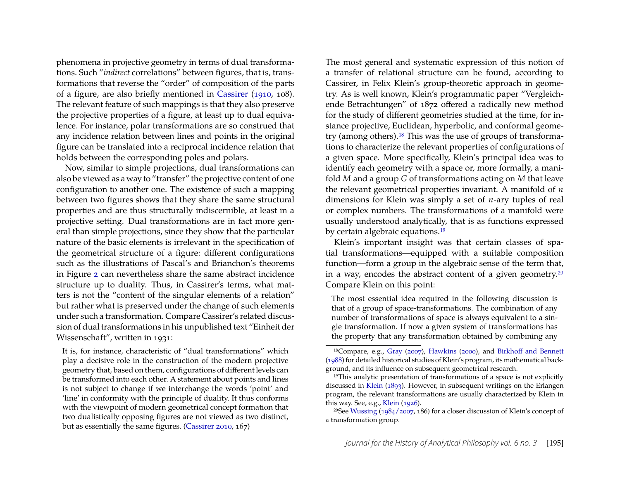phenomena in projective geometry in terms of dual transformations. Such "*indirect* correlations" between figures, that is, transformations that reverse the "order" of composition of the parts of a figure, are also briefly mentioned in [Cassirer](#page-29-0) [\(1910,](#page-29-0) 108). The relevant feature of such mappings is that they also preserve the projective properties of a figure, at least up to dual equivalence. For instance, polar transformations are so construed that any incidence relation between lines and points in the original figure can be translated into a reciprocal incidence relation that holds between the corresponding poles and polars.

Now, similar to simple projections, dual transformations can also be viewed as a way to "transfer" the projective content of one configuration to another one. The existence of such a mapping between two figures shows that they share the same structural properties and are thus structurally indiscernible, at least in a projective setting. Dual transformations are in fact more general than simple projections, since they show that the particular nature of the basic elements is irrelevant in the specification of the geometrical structure of a figure: different configurations such as the illustrations of Pascal's and Brianchon's theorems in Figure [2](#page-5-0) can nevertheless share the same abstract incidence structure up to duality. Thus, in Cassirer's terms, what matters is not the "content of the singular elements of a relation" but rather what is preserved under the change of such elements under such a transformation. Compare Cassirer's related discussion of dual transformations in his unpublished text "Einheit der Wissenschaft", written in 1931:

It is, for instance, characteristic of "dual transformations" which play a decisive role in the construction of the modern projective geometry that, based on them, configurations of different levels can be transformed into each other. A statement about points and lines is not subject to change if we interchange the words 'point' and 'line' in conformity with the principle of duality. It thus conforms with the viewpoint of modern geometrical concept formation that two dualistically opposing figures are not viewed as two distinct, but as essentially the same figures. [\(Cassirer 2010,](#page-29-10) 167)

The most general and systematic expression of this notion of a transfer of relational structure can be found, according to Cassirer, in Felix Klein's group-theoretic approach in geometry. As is well known, Klein's programmatic paper "Vergleichende Betrachtungen" of 1872 offered a radically new method for the study of different geometries studied at the time, for instance projective, Euclidean, hyperbolic, and conformal geometry (among others).[18](#page-13-0) This was the use of groups of transformations to characterize the relevant properties of configurations of a given space. More specifically, Klein's principal idea was to identify each geometry with a space or, more formally, a manifold *M* and a group *G* of transformations acting on *M* that leave the relevant geometrical properties invariant. A manifold of *n* dimensions for Klein was simply a set of *n*-ary tuples of real or complex numbers. The transformations of a manifold were usually understood analytically, that is as functions expressed by certain algebraic equations.<sup>[19](#page-13-1)</sup>

Klein's important insight was that certain classes of spatial transformations—equipped with a suitable composition function—form a group in the algebraic sense of the term that, in a way, encodes the abstract content of a given geometry.[20](#page-13-2) Compare Klein on this point:

The most essential idea required in the following discussion is that of a group of space-transformations. The combination of any number of transformations of space is always equivalent to a single transformation. If now a given system of transformations has the property that any transformation obtained by combining any

<span id="page-13-2"></span>20See [Wussing](#page-30-16) [\(1984/2007,](#page-30-16) 186) for a closer discussion of Klein's concept of a transformation group.

<span id="page-13-0"></span><sup>18</sup>Compare, e.g., [Gray](#page-29-4) [\(2007\)](#page-29-4), [Hawkins](#page-29-11) [\(2000\)](#page-29-11), and [Birkhoff and Bennett](#page-29-12) [\(1988\)](#page-29-12) for detailed historical studies of Klein's program, its mathematical background, and its influence on subsequent geometrical research.

<span id="page-13-1"></span><sup>19</sup>This analytic presentation of transformations of a space is not explicitly discussed in [Klein](#page-30-4) [\(1893\)](#page-30-4). However, in subsequent writings on the Erlangen program, the relevant transformations are usually characterized by Klein in this way. See, e.g., [Klein](#page-30-15) [\(1926\)](#page-30-15).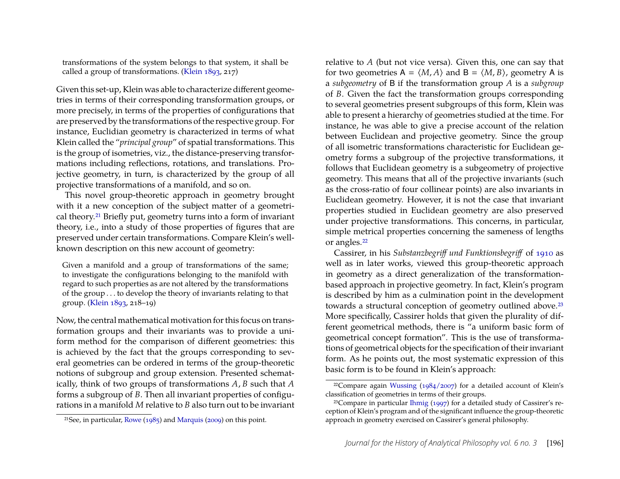transformations of the system belongs to that system, it shall be called a group of transformations. [\(Klein 1893,](#page-30-4) 217)

Given this set-up, Klein was able to characterize different geometries in terms of their corresponding transformation groups, or more precisely, in terms of the properties of configurations that are preserved by the transformations of the respective group. For instance, Euclidian geometry is characterized in terms of what Klein called the "*principal group*" of spatial transformations. This is the group of isometries, viz., the distance-preserving transformations including reflections, rotations, and translations. Projective geometry, in turn, is characterized by the group of all projective transformations of a manifold, and so on.

This novel group-theoretic approach in geometry brought with it a new conception of the subject matter of a geometrical theory.[21](#page-14-0) Briefly put, geometry turns into a form of invariant theory, i.e., into a study of those properties of figures that are preserved under certain transformations. Compare Klein's wellknown description on this new account of geometry:

Given a manifold and a group of transformations of the same; to investigate the configurations belonging to the manifold with regard to such properties as are not altered by the transformations of the group . . . to develop the theory of invariants relating to that group. [\(Klein 1893,](#page-30-4) 218–19)

Now, the central mathematical motivation for this focus on transformation groups and their invariants was to provide a uniform method for the comparison of different geometries: this is achieved by the fact that the groups corresponding to several geometries can be ordered in terms of the group-theoretic notions of subgroup and group extension. Presented schematically, think of two groups of transformations *A*, *B* such that *A* forms a subgroup of *B*. Then all invariant properties of configurations in a manifold *M* relative to *B* also turn out to be invariant relative to *A* (but not vice versa). Given this, one can say that for two geometries  $A = \langle M, A \rangle$  and  $B = \langle M, B \rangle$ , geometry A is a *subgeometry* of B if the transformation group *A* is a *subgroup* of *B*. Given the fact the transformation groups corresponding to several geometries present subgroups of this form, Klein was able to present a hierarchy of geometries studied at the time. For instance, he was able to give a precise account of the relation between Euclidean and projective geometry. Since the group of all isometric transformations characteristic for Euclidean geometry forms a subgroup of the projective transformations, it follows that Euclidean geometry is a subgeometry of projective geometry. This means that all of the projective invariants (such as the cross-ratio of four collinear points) are also invariants in Euclidean geometry. However, it is not the case that invariant properties studied in Euclidean geometry are also preserved under projective transformations. This concerns, in particular, simple metrical properties concerning the sameness of lengths or angles.[22](#page-14-1)

Cassirer, in his *Substanzbegriff und Funktionsbegriff* of [1910](#page-29-0) as well as in later works, viewed this group-theoretic approach in geometry as a direct generalization of the transformationbased approach in projective geometry. In fact, Klein's program is described by him as a culmination point in the development towards a structural conception of geometry outlined above.<sup>[23](#page-14-2)</sup> More specifically, Cassirer holds that given the plurality of different geometrical methods, there is "a uniform basic form of geometrical concept formation". This is the use of transformations of geometrical objects for the specification of their invariant form. As he points out, the most systematic expression of this basic form is to be found in Klein's approach:

<span id="page-14-0"></span><sup>&</sup>lt;sup>21</sup>See, in particular, [Rowe](#page-30-17) [\(1985\)](#page-30-17) and [Marquis](#page-30-18) [\(2009\)](#page-30-18) on this point.

<span id="page-14-1"></span><sup>&</sup>lt;sup>22</sup>Compare again [Wussing](#page-30-16)  $(1984/2007)$  for a detailed account of Klein's classification of geometries in terms of their groups.

<span id="page-14-2"></span><sup>23</sup>Compare in particular [Ihmig](#page-30-2) [\(1997\)](#page-30-2) for a detailed study of Cassirer's reception of Klein's program and of the significant influence the group-theoretic approach in geometry exercised on Cassirer's general philosophy.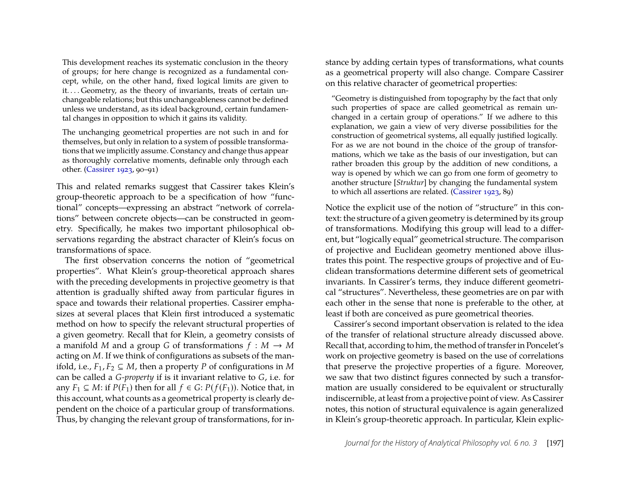This development reaches its systematic conclusion in the theory of groups; for here change is recognized as a fundamental concept, while, on the other hand, fixed logical limits are given to it.... Geometry, as the theory of invariants, treats of certain unchangeable relations; but this unchangeableness cannot be defined unless we understand, as its ideal background, certain fundamental changes in opposition to which it gains its validity.

The unchanging geometrical properties are not such in and for themselves, but only in relation to a system of possible transformations that we implicitly assume. Constancy and change thus appear as thoroughly correlative moments, definable only through each other. [\(Cassirer 1923,](#page-29-8) 90–91)

This and related remarks suggest that Cassirer takes Klein's group-theoretic approach to be a specification of how "functional" concepts—expressing an abstract "network of correlations" between concrete objects—can be constructed in geometry. Specifically, he makes two important philosophical observations regarding the abstract character of Klein's focus on transformations of space.

The first observation concerns the notion of "geometrical properties". What Klein's group-theoretical approach shares with the preceding developments in projective geometry is that attention is gradually shifted away from particular figures in space and towards their relational properties. Cassirer emphasizes at several places that Klein first introduced a systematic method on how to specify the relevant structural properties of a given geometry. Recall that for Klein, a geometry consists of a manifold *M* and a group *G* of transformations  $f : M \to M$ acting on *M*. If we think of configurations as subsets of the manifold, i.e.,  $F_1, F_2 \subseteq M$ , then a property *P* of configurations in *M* can be called a *G-property* if is it invariant relative to *G*, i.e. for any  $F_1 \subseteq M$ : if  $P(F_1)$  then for all  $f \in G$ :  $P(f(F_1))$ . Notice that, in this account, what counts as a geometrical property is clearly dependent on the choice of a particular group of transformations. Thus, by changing the relevant group of transformations, for instance by adding certain types of transformations, what counts as a geometrical property will also change. Compare Cassirer on this relative character of geometrical properties:

"Geometry is distinguished from topography by the fact that only such properties of space are called geometrical as remain unchanged in a certain group of operations." If we adhere to this explanation, we gain a view of very diverse possibilities for the construction of geometrical systems, all equally justified logically. For as we are not bound in the choice of the group of transformations, which we take as the basis of our investigation, but can rather broaden this group by the addition of new conditions, a way is opened by which we can go from one form of geometry to another structure [*Struktur*] by changing the fundamental system to which all assertions are related. [\(Cassirer 1923,](#page-29-8) 89)

Notice the explicit use of the notion of "structure" in this context: the structure of a given geometry is determined by its group of transformations. Modifying this group will lead to a different, but "logically equal" geometrical structure. The comparison of projective and Euclidean geometry mentioned above illustrates this point. The respective groups of projective and of Euclidean transformations determine different sets of geometrical invariants. In Cassirer's terms, they induce different geometrical "structures". Nevertheless, these geometries are on par with each other in the sense that none is preferable to the other, at least if both are conceived as pure geometrical theories.

Cassirer's second important observation is related to the idea of the transfer of relational structure already discussed above. Recall that, according to him, the method of transfer in Poncelet's work on projective geometry is based on the use of correlations that preserve the projective properties of a figure. Moreover, we saw that two distinct figures connected by such a transformation are usually considered to be equivalent or structurally indiscernible, at least from a projective point of view. As Cassirer notes, this notion of structural equivalence is again generalized in Klein's group-theoretic approach. In particular, Klein explic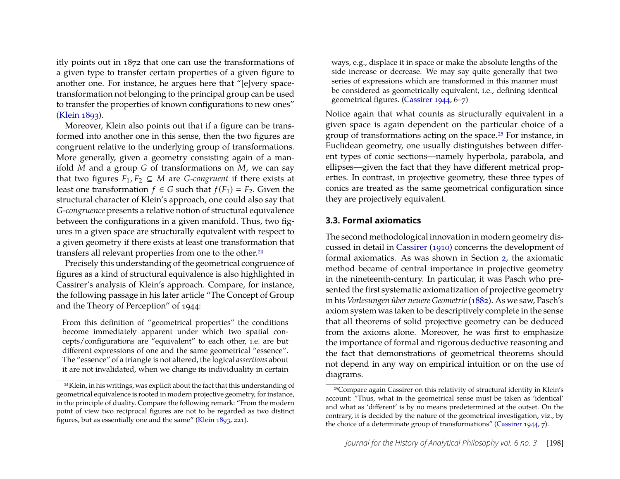itly points out in 1872 that one can use the transformations of a given type to transfer certain properties of a given figure to another one. For instance, he argues here that "[e]very spacetransformation not belonging to the principal group can be used to transfer the properties of known configurations to new ones" [\(Klein 1893\)](#page-30-4).

Moreover, Klein also points out that if a figure can be transformed into another one in this sense, then the two figures are congruent relative to the underlying group of transformations. More generally, given a geometry consisting again of a manifold *M* and a group *G* of transformations on *M*, we can say that two figures  $F_1, F_2 \subseteq M$  are *G*-*congruent* if there exists at least one transformation *f*  $\in$  *G* such that *f*(*F*<sub>1</sub>) = *F*<sub>2</sub>. Given the structural character of Klein's approach, one could also say that *G*-*congruence* presents a relative notion of structural equivalence between the configurations in a given manifold. Thus, two figures in a given space are structurally equivalent with respect to a given geometry if there exists at least one transformation that transfers all relevant properties from one to the other.[24](#page-16-1)

Precisely this understanding of the geometrical congruence of figures as a kind of structural equivalence is also highlighted in Cassirer's analysis of Klein's approach. Compare, for instance, the following passage in his later article "The Concept of Group and the Theory of Perception" of 1944:

From this definition of "geometrical properties" the conditions become immediately apparent under which two spatial concepts/configurations are "equivalent" to each other, i.e. are but different expressions of one and the same geometrical "essence". The "essence" of a triangle is not altered, the logical *assertions* about it are not invalidated, when we change its individuality in certain

ways, e.g., displace it in space or make the absolute lengths of the side increase or decrease. We may say quite generally that two series of expressions which are transformed in this manner must be considered as geometrically equivalent, i.e., defining identical geometrical figures. [\(Cassirer 1944,](#page-29-9) 6–7)

Notice again that what counts as structurally equivalent in a given space is again dependent on the particular choice of a group of transformations acting on the space.[25](#page-16-2) For instance, in Euclidean geometry, one usually distinguishes between different types of conic sections—namely hyperbola, parabola, and ellipses—given the fact that they have different metrical properties. In contrast, in projective geometry, these three types of conics are treated as the same geometrical configuration since they are projectively equivalent.

#### <span id="page-16-0"></span>**3.3. Formal axiomatics**

The second methodological innovation in modern geometry discussed in detail in [Cassirer](#page-29-0) [\(1910\)](#page-29-0) concerns the development of formal axiomatics. As was shown in Section [2,](#page-2-0) the axiomatic method became of central importance in projective geometry in the nineteenth-century. In particular, it was Pasch who presented the first systematic axiomatization of projective geometry in his *Vorlesungen über neuere Geometrie*[\(1882\)](#page-30-11). As we saw, Pasch's axiom system was taken to be descriptively complete in the sense that all theorems of solid projective geometry can be deduced from the axioms alone. Moreover, he was first to emphasize the importance of formal and rigorous deductive reasoning and the fact that demonstrations of geometrical theorems should not depend in any way on empirical intuition or on the use of diagrams.

<span id="page-16-1"></span><sup>24</sup>Klein, in his writings, was explicit about the fact that this understanding of geometrical equivalence is rooted in modern projective geometry, for instance, in the principle of duality. Compare the following remark: "From the modern point of view two reciprocal figures are not to be regarded as two distinct figures, but as essentially one and the same" [\(Klein 1893,](#page-30-4) 221).

<span id="page-16-2"></span><sup>25</sup>Compare again Cassirer on this relativity of structural identity in Klein's account: "Thus, what in the geometrical sense must be taken as 'identical' and what as 'different' is by no means predetermined at the outset. On the contrary, it is decided by the nature of the geometrical investigation, viz., by the choice of a determinate group of transformations" [\(Cassirer 1944,](#page-29-9) 7).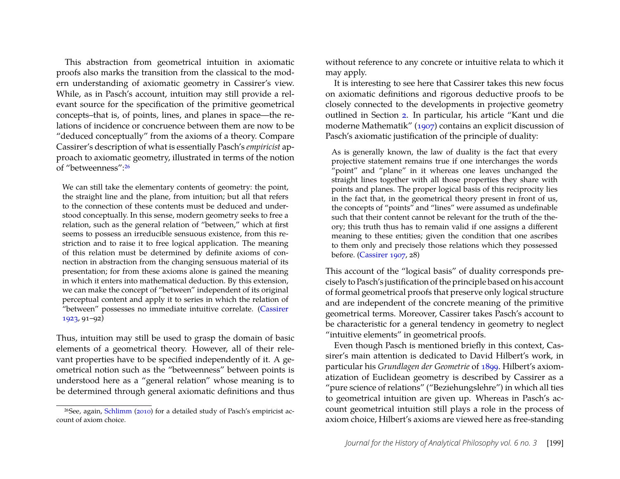This abstraction from geometrical intuition in axiomatic proofs also marks the transition from the classical to the modern understanding of axiomatic geometry in Cassirer's view. While, as in Pasch's account, intuition may still provide a relevant source for the specification of the primitive geometrical concepts–that is, of points, lines, and planes in space—the relations of incidence or concruence between them are now to be "deduced conceptually" from the axioms of a theory. Compare Cassirer's description of what is essentially Pasch's *empiricist* approach to axiomatic geometry, illustrated in terms of the notion of "betweenness":[26](#page-17-0)

We can still take the elementary contents of geometry: the point, the straight line and the plane, from intuition; but all that refers to the connection of these contents must be deduced and understood conceptually. In this sense, modern geometry seeks to free a relation, such as the general relation of "between," which at first seems to possess an irreducible sensuous existence, from this restriction and to raise it to free logical application. The meaning of this relation must be determined by definite axioms of connection in abstraction from the changing sensuous material of its presentation; for from these axioms alone is gained the meaning in which it enters into mathematical deduction. By this extension, we can make the concept of "between" independent of its original perceptual content and apply it to series in which the relation of "between" possesses no immediate intuitive correlate. [\(Cassirer](#page-29-8) [1923,](#page-29-8) 91–92)

Thus, intuition may still be used to grasp the domain of basic elements of a geometrical theory. However, all of their relevant properties have to be specified independently of it. A geometrical notion such as the "betweenness" between points is understood here as a "general relation" whose meaning is to be determined through general axiomatic definitions and thus without reference to any concrete or intuitive relata to which it may apply.

It is interesting to see here that Cassirer takes this new focus on axiomatic definitions and rigorous deductive proofs to be closely connected to the developments in projective geometry outlined in Section [2.](#page-2-0) In particular, his article "Kant und die moderne Mathematik" [\(1907\)](#page-29-13) contains an explicit discussion of Pasch's axiomatic justification of the principle of duality:

As is generally known, the law of duality is the fact that every projective statement remains true if one interchanges the words "point" and "plane" in it whereas one leaves unchanged the straight lines together with all those properties they share with points and planes. The proper logical basis of this reciprocity lies in the fact that, in the geometrical theory present in front of us, the concepts of "points" and "lines" were assumed as undefinable such that their content cannot be relevant for the truth of the theory; this truth thus has to remain valid if one assigns a different meaning to these entities; given the condition that one ascribes to them only and precisely those relations which they possessed before. [\(Cassirer 1907,](#page-29-13) 28)

This account of the "logical basis" of duality corresponds precisely to Pasch's justification of the principle based on his account of formal geometrical proofs that preserve only logical structure and are independent of the concrete meaning of the primitive geometrical terms. Moreover, Cassirer takes Pasch's account to be characteristic for a general tendency in geometry to neglect "intuitive elements" in geometrical proofs.

Even though Pasch is mentioned briefly in this context, Cassirer's main attention is dedicated to David Hilbert's work, in particular his *Grundlagen der Geometrie* of [1899.](#page-30-6) Hilbert's axiomatization of Euclidean geometry is described by Cassirer as a "pure science of relations" ("Beziehungslehre") in which all ties to geometrical intuition are given up. Whereas in Pasch's account geometrical intuition still plays a role in the process of axiom choice, Hilbert's axioms are viewed here as free-standing

<span id="page-17-0"></span><sup>26</sup>See, again, [Schlimm](#page-30-12) [\(2010\)](#page-30-12) for a detailed study of Pasch's empiricist account of axiom choice.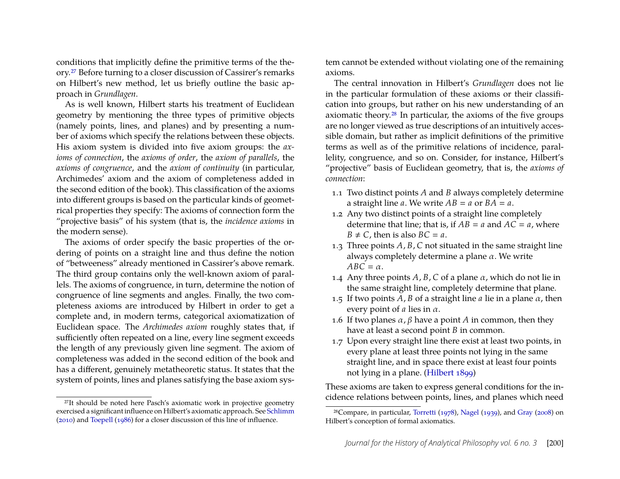conditions that implicitly define the primitive terms of the theory.[27](#page-18-0) Before turning to a closer discussion of Cassirer's remarks on Hilbert's new method, let us briefly outline the basic approach in *Grundlagen*.

As is well known, Hilbert starts his treatment of Euclidean geometry by mentioning the three types of primitive objects (namely points, lines, and planes) and by presenting a number of axioms which specify the relations between these objects. His axiom system is divided into five axiom groups: the *axioms of connection*, the *axioms of order*, the *axiom of parallels*, the *axioms of congruence*, and the *axiom of continuity* (in particular, Archimedes' axiom and the axiom of completeness added in the second edition of the book). This classification of the axioms into different groups is based on the particular kinds of geometrical properties they specify: The axioms of connection form the "projective basis" of his system (that is, the *incidence axioms* in the modern sense).

The axioms of order specify the basic properties of the ordering of points on a straight line and thus define the notion of "betweeness" already mentioned in Cassirer's above remark. The third group contains only the well-known axiom of parallels. The axioms of congruence, in turn, determine the notion of congruence of line segments and angles. Finally, the two completeness axioms are introduced by Hilbert in order to get a complete and, in modern terms, categorical axiomatization of Euclidean space. The *Archimedes axiom* roughly states that, if sufficiently often repeated on a line, every line segment exceeds the length of any previously given line segment. The axiom of completeness was added in the second edition of the book and has a different, genuinely metatheoretic status. It states that the system of points, lines and planes satisfying the base axiom system cannot be extended without violating one of the remaining axioms.

The central innovation in Hilbert's *Grundlagen* does not lie in the particular formulation of these axioms or their classification into groups, but rather on his new understanding of an axiomatic theory.[28](#page-18-1) In particular, the axioms of the five groups are no longer viewed as true descriptions of an intuitively accessible domain, but rather as implicit definitions of the primitive terms as well as of the primitive relations of incidence, parallelity, congruence, and so on. Consider, for instance, Hilbert's "projective" basis of Euclidean geometry, that is, the *axioms of connection*:

- 1.1 Two distinct points *A* and *B* always completely determine a straight line *a*. We write  $AB = a$  or  $BA = a$ .
- 1.2 Any two distinct points of a straight line completely determine that line; that is, if  $AB = a$  and  $AC = a$ , where  $B \neq C$ , then is also  $BC = a$ .
- 1.3 Three points *A*, *B*, *C* not situated in the same straight line always completely determine a plane  $\alpha$ . We write  $ABC = \alpha$ .
- 1.4 Any three points  $A$ ,  $B$ ,  $C$  of a plane  $\alpha$ , which do not lie in the same straight line, completely determine that plane.
- 1.5 If two points  $A$ ,  $B$  of a straight line  $a$  lie in a plane  $\alpha$ , then every point of  $a$  lies in  $\alpha$ .
- 1.6 If two planes  $\alpha$ ,  $\beta$  have a point *A* in common, then they have at least a second point *B* in common.
- 1.7 Upon every straight line there exist at least two points, in every plane at least three points not lying in the same straight line, and in space there exist at least four points not lying in a plane. [\(Hilbert 1899\)](#page-30-6)

These axioms are taken to express general conditions for the incidence relations between points, lines, and planes which need

<span id="page-18-0"></span><sup>27</sup>It should be noted here Pasch's axiomatic work in projective geometry exercised a significant influence on Hilbert's axiomatic approach. See [Schlimm](#page-30-12) [\(2010\)](#page-30-12) and [Toepell](#page-30-19) [\(1986\)](#page-30-19) for a closer discussion of this line of influence.

<span id="page-18-1"></span><sup>28</sup>Compare, in particular, [Torretti](#page-30-20) [\(1978\)](#page-30-20), [Nagel](#page-30-9) [\(1939\)](#page-30-9), and [Gray](#page-29-14) [\(2008\)](#page-29-14) on Hilbert's conception of formal axiomatics.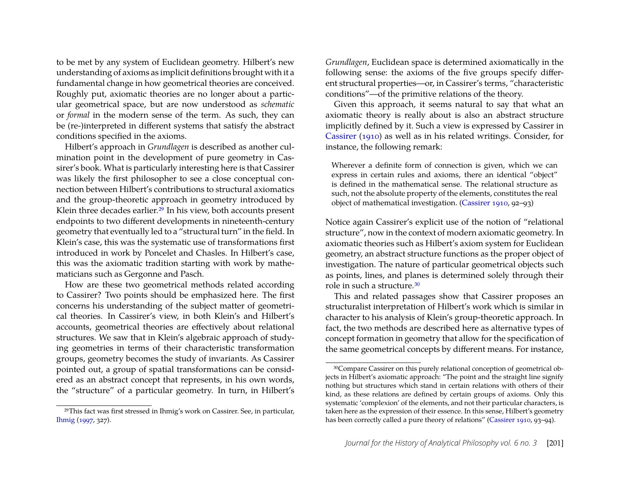to be met by any system of Euclidean geometry. Hilbert's new understanding of axioms as implicit definitions brought with it a fundamental change in how geometrical theories are conceived. Roughly put, axiomatic theories are no longer about a particular geometrical space, but are now understood as *schematic* or *formal* in the modern sense of the term. As such, they can be (re-)interpreted in different systems that satisfy the abstract conditions specified in the axioms.

Hilbert's approach in *Grundlagen* is described as another culmination point in the development of pure geometry in Cassirer's book. What is particularly interesting here is that Cassirer was likely the first philosopher to see a close conceptual connection between Hilbert's contributions to structural axiomatics and the group-theoretic approach in geometry introduced by Klein three decades earlier.<sup>[29](#page-19-0)</sup> In his view, both accounts present endpoints to two different developments in nineteenth-century geometry that eventually led to a "structural turn" in the field. In Klein's case, this was the systematic use of transformations first introduced in work by Poncelet and Chasles. In Hilbert's case, this was the axiomatic tradition starting with work by mathematicians such as Gergonne and Pasch.

How are these two geometrical methods related according to Cassirer? Two points should be emphasized here. The first concerns his understanding of the subject matter of geometrical theories. In Cassirer's view, in both Klein's and Hilbert's accounts, geometrical theories are effectively about relational structures. We saw that in Klein's algebraic approach of studying geometries in terms of their characteristic transformation groups, geometry becomes the study of invariants. As Cassirer pointed out, a group of spatial transformations can be considered as an abstract concept that represents, in his own words, the "structure" of a particular geometry. In turn, in Hilbert's *Grundlagen*, Euclidean space is determined axiomatically in the following sense: the axioms of the five groups specify different structural properties—or, in Cassirer's terms, "characteristic conditions"—of the primitive relations of the theory.

Given this approach, it seems natural to say that what an axiomatic theory is really about is also an abstract structure implicitly defined by it. Such a view is expressed by Cassirer in [Cassirer](#page-29-0) [\(1910\)](#page-29-0) as well as in his related writings. Consider, for instance, the following remark:

Wherever a definite form of connection is given, which we can express in certain rules and axioms, there an identical "object" is defined in the mathematical sense. The relational structure as such, not the absolute property of the elements, constitutes the real object of mathematical investigation. [\(Cassirer 1910,](#page-29-0) 92–93)

Notice again Cassirer's explicit use of the notion of "relational structure", now in the context of modern axiomatic geometry. In axiomatic theories such as Hilbert's axiom system for Euclidean geometry, an abstract structure functions as the proper object of investigation. The nature of particular geometrical objects such as points, lines, and planes is determined solely through their role in such a structure.[30](#page-19-1)

This and related passages show that Cassirer proposes an structuralist interpretation of Hilbert's work which is similar in character to his analysis of Klein's group-theoretic approach. In fact, the two methods are described here as alternative types of concept formation in geometry that allow for the specification of the same geometrical concepts by different means. For instance,

<span id="page-19-0"></span><sup>29</sup>This fact was first stressed in Ihmig's work on Cassirer. See, in particular, [Ihmig](#page-30-2) [\(1997,](#page-30-2) 327).

<span id="page-19-1"></span><sup>30</sup>Compare Cassirer on this purely relational conception of geometrical objects in Hilbert's axiomatic approach: "The point and the straight line signify nothing but structures which stand in certain relations with others of their kind, as these relations are defined by certain groups of axioms. Only this systematic 'complexion' of the elements, and not their particular characters, is taken here as the expression of their essence. In this sense, Hilbert's geometry has been correctly called a pure theory of relations" [\(Cassirer 1910,](#page-29-0) 93-94).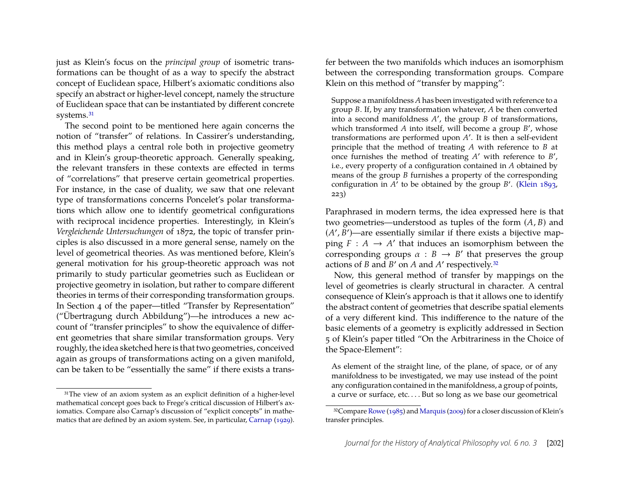just as Klein's focus on the *principal group* of isometric transformations can be thought of as a way to specify the abstract concept of Euclidean space, Hilbert's axiomatic conditions also specify an abstract or higher-level concept, namely the structure of Euclidean space that can be instantiated by different concrete systems.<sup>[31](#page-20-0)</sup>

The second point to be mentioned here again concerns the notion of "transfer" of relations. In Cassirer's understanding, this method plays a central role both in projective geometry and in Klein's group-theoretic approach. Generally speaking, the relevant transfers in these contexts are effected in terms of "correlations" that preserve certain geometrical properties. For instance, in the case of duality, we saw that one relevant type of transformations concerns Poncelet's polar transformations which allow one to identify geometrical configurations with reciprocal incidence properties. Interestingly, in Klein's *Vergleichende Untersuchungen* of 1872, the topic of transfer principles is also discussed in a more general sense, namely on the level of geometrical theories. As was mentioned before, Klein's general motivation for his group-theoretic approach was not primarily to study particular geometries such as Euclidean or projective geometry in isolation, but rather to compare different theories in terms of their corresponding transformation groups. In Section 4 of the paper—titled "Transfer by Representation" ("Übertragung durch Abbildung")—he introduces a new account of "transfer principles" to show the equivalence of different geometries that share similar transformation groups. Very roughly, the idea sketched here is that two geometries, conceived again as groups of transformations acting on a given manifold, can be taken to be "essentially the same" if there exists a transfer between the two manifolds which induces an isomorphism between the corresponding transformation groups. Compare Klein on this method of "transfer by mapping":

Suppose a manifoldness *A* has been investigated with reference to a group *B*. If, by any transformation whatever, *A* be then converted into a second manifoldness *A* ′ , the group *B* of transformations, which transformed *A* into itself, will become a group *B'*, whose transformations are performed upon A'. It is then a self-evident principle that the method of treating *A* with reference to *B* at once furnishes the method of treating A' with reference to B', i.e., every property of a configuration contained in *A* obtained by means of the group *B* furnishes a property of the corresponding configuration in *A* ′ to be obtained by the group *B* ′ . [\(Klein 1893,](#page-30-4) 223)

Paraphrased in modern terms, the idea expressed here is that two geometries—understood as tuples of the form (*A*, *B*) and  $(A', B')$ —are essentially similar if there exists a bijective mapping  $F : A \to A'$  that induces an isomorphism between the corresponding groups  $\alpha : B \to B'$  that preserves the group actions of *B* and *B* ′ on *A* and *A* ′ respectively.[32](#page-20-1)

Now, this general method of transfer by mappings on the level of geometries is clearly structural in character. A central consequence of Klein's approach is that it allows one to identify the abstract content of geometries that describe spatial elements of a very different kind. This indifference to the nature of the basic elements of a geometry is explicitly addressed in Section 5 of Klein's paper titled "On the Arbitrariness in the Choice of the Space-Element":

As element of the straight line, of the plane, of space, or of any manifoldness to be investigated, we may use instead of the point any configuration contained in the manifoldness, a group of points, a curve or surface, etc.... But so long as we base our geometrical

<span id="page-20-0"></span><sup>&</sup>lt;sup>31</sup>The view of an axiom system as an explicit definition of a higher-level mathematical concept goes back to Frege's critical discussion of Hilbert's axiomatics. Compare also Carnap's discussion of "explicit concepts" in mathematics that are defined by an axiom system. See, in particular, [Carnap](#page-29-15) [\(1929\)](#page-29-15).

<span id="page-20-1"></span><sup>32</sup>Compare [Rowe](#page-30-17) [\(1985\)](#page-30-17) and [Marquis](#page-30-18) [\(2009\)](#page-30-18) for a closer discussion of Klein's transfer principles.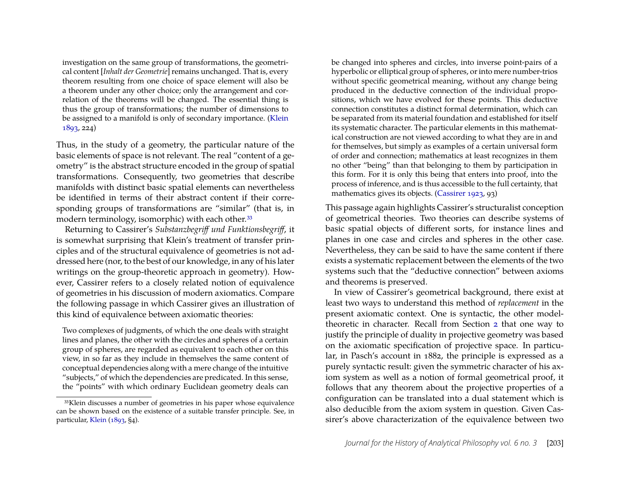investigation on the same group of transformations, the geometrical content [*Inhalt der Geometrie*] remains unchanged. That is, every theorem resulting from one choice of space element will also be a theorem under any other choice; only the arrangement and correlation of the theorems will be changed. The essential thing is thus the group of transformations; the number of dimensions to be assigned to a manifold is only of secondary importance. [\(Klein](#page-30-4) [1893,](#page-30-4) 224)

Thus, in the study of a geometry, the particular nature of the basic elements of space is not relevant. The real "content of a geometry" is the abstract structure encoded in the group of spatial transformations. Consequently, two geometries that describe manifolds with distinct basic spatial elements can nevertheless be identified in terms of their abstract content if their corresponding groups of transformations are "similar" (that is, in modern terminology, isomorphic) with each other.<sup>[33](#page-21-0)</sup>

Returning to Cassirer's *Substanzbegriff und Funktionsbegriff*, it is somewhat surprising that Klein's treatment of transfer principles and of the structural equivalence of geometries is not addressed here (nor, to the best of our knowledge, in any of his later writings on the group-theoretic approach in geometry). However, Cassirer refers to a closely related notion of equivalence of geometries in his discussion of modern axiomatics. Compare the following passage in which Cassirer gives an illustration of this kind of equivalence between axiomatic theories:

Two complexes of judgments, of which the one deals with straight lines and planes, the other with the circles and spheres of a certain group of spheres, are regarded as equivalent to each other on this view, in so far as they include in themselves the same content of conceptual dependencies along with a mere change of the intuitive "subjects," of which the dependencies are predicated. In this sense, the "points" with which ordinary Euclidean geometry deals can

be changed into spheres and circles, into inverse point-pairs of a hyperbolic or elliptical group of spheres, or into mere number-trios without specific geometrical meaning, without any change being produced in the deductive connection of the individual propositions, which we have evolved for these points. This deductive connection constitutes a distinct formal determination, which can be separated from its material foundation and established for itself its systematic character. The particular elements in this mathematical construction are not viewed according to what they are in and for themselves, but simply as examples of a certain universal form of order and connection; mathematics at least recognizes in them no other "being" than that belonging to them by participation in this form. For it is only this being that enters into proof, into the process of inference, and is thus accessible to the full certainty, that mathematics gives its objects. [\(Cassirer 1923,](#page-29-8) 93)

This passage again highlights Cassirer's structuralist conception of geometrical theories. Two theories can describe systems of basic spatial objects of different sorts, for instance lines and planes in one case and circles and spheres in the other case. Nevertheless, they can be said to have the same content if there exists a systematic replacement between the elements of the two systems such that the "deductive connection" between axioms and theorems is preserved.

In view of Cassirer's geometrical background, there exist at least two ways to understand this method of *replacement* in the present axiomatic context. One is syntactic, the other modeltheoretic in character. Recall from Section [2](#page-2-0) that one way to justify the principle of duality in projective geometry was based on the axiomatic specification of projective space. In particular, in Pasch's account in 1882, the principle is expressed as a purely syntactic result: given the symmetric character of his axiom system as well as a notion of formal geometrical proof, it follows that any theorem about the projective properties of a configuration can be translated into a dual statement which is also deducible from the axiom system in question. Given Cassirer's above characterization of the equivalence between two

<span id="page-21-0"></span><sup>33</sup>Klein discusses a number of geometries in his paper whose equivalence can be shown based on the existence of a suitable transfer principle. See, in particular, [Klein](#page-30-4) [\(1893,](#page-30-4) §4).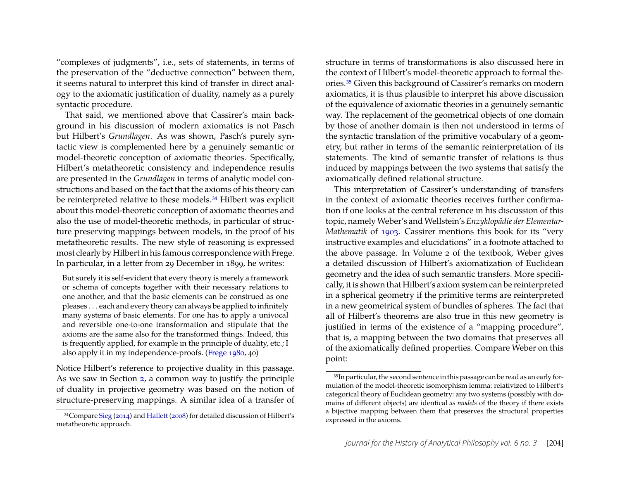"complexes of judgments", i.e., sets of statements, in terms of the preservation of the "deductive connection" between them, it seems natural to interpret this kind of transfer in direct analogy to the axiomatic justification of duality, namely as a purely syntactic procedure.

That said, we mentioned above that Cassirer's main background in his discussion of modern axiomatics is not Pasch but Hilbert's *Grundlagen*. As was shown, Pasch's purely syntactic view is complemented here by a genuinely semantic or model-theoretic conception of axiomatic theories. Specifically, Hilbert's metatheoretic consistency and independence results are presented in the *Grundlagen* in terms of analytic model constructions and based on the fact that the axioms of his theory can be reinterpreted relative to these models.[34](#page-22-0) Hilbert was explicit about this model-theoretic conception of axiomatic theories and also the use of model-theoretic methods, in particular of structure preserving mappings between models, in the proof of his metatheoretic results. The new style of reasoning is expressed most clearly by Hilbert in his famous correspondence with Frege. In particular, in a letter from 29 December in 1899, he writes:

But surely it is self-evident that every theory is merely a framework or schema of concepts together with their necessary relations to one another, and that the basic elements can be construed as one pleases . . . each and every theory can always be applied to infinitely many systems of basic elements. For one has to apply a univocal and reversible one-to-one transformation and stipulate that the axioms are the same also for the transformed things. Indeed, this is frequently applied, for example in the principle of duality, etc.; I also apply it in my independence-proofs. [\(Frege 1980,](#page-29-16) 40)

Notice Hilbert's reference to projective duality in this passage. As we saw in Section [2,](#page-2-0) a common way to justify the principle of duality in projective geometry was based on the notion of structure-preserving mappings. A similar idea of a transfer of structure in terms of transformations is also discussed here in the context of Hilbert's model-theoretic approach to formal theories.[35](#page-22-1) Given this background of Cassirer's remarks on modern axiomatics, it is thus plausible to interpret his above discussion of the equivalence of axiomatic theories in a genuinely semantic way. The replacement of the geometrical objects of one domain by those of another domain is then not understood in terms of the syntactic translation of the primitive vocabulary of a geometry, but rather in terms of the semantic reinterpretation of its statements. The kind of semantic transfer of relations is thus induced by mappings between the two systems that satisfy the axiomatically defined relational structure.

This interpretation of Cassirer's understanding of transfers in the context of axiomatic theories receives further confirmation if one looks at the central reference in his discussion of this topic, namelyWeber's andWellstein's *Enzyklopädie der Elementar-Mathematik* of [1903.](#page-30-22) Cassirer mentions this book for its "very instructive examples and elucidations" in a footnote attached to the above passage. In Volume 2 of the textbook, Weber gives a detailed discussion of Hilbert's axiomatization of Euclidean geometry and the idea of such semantic transfers. More specifically, it is shown that Hilbert's axiom system can be reinterpreted in a spherical geometry if the primitive terms are reinterpreted in a new geometrical system of bundles of spheres. The fact that all of Hilbert's theorems are also true in this new geometry is justified in terms of the existence of a "mapping procedure", that is, a mapping between the two domains that preserves all of the axiomatically defined properties. Compare Weber on this point:

<span id="page-22-0"></span><sup>34</sup>Compare [Sieg](#page-30-21) [\(2014\)](#page-30-21) and [Hallett](#page-29-17) [\(2008\)](#page-29-17) for detailed discussion of Hilbert's metatheoretic approach.

<span id="page-22-1"></span><sup>&</sup>lt;sup>35</sup>In particular, the second sentence in this passage can be read as an early formulation of the model-theoretic isomorphism lemma: relativized to Hilbert's categorical theory of Euclidean geometry: any two systems (possibly with domains of different objects) are identical *as models* of the theory if there exists a bijective mapping between them that preserves the structural properties expressed in the axioms.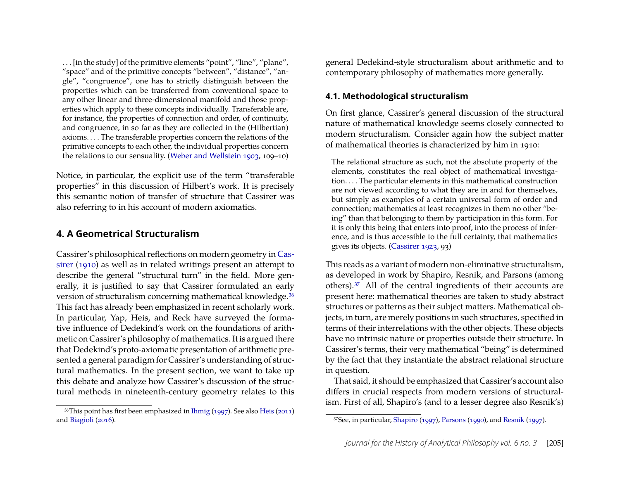. . . [in the study] of the primitive elements "point", "line", "plane", "space" and of the primitive concepts "between", "distance", "angle", "congruence", one has to strictly distinguish between the properties which can be transferred from conventional space to any other linear and three-dimensional manifold and those properties which apply to these concepts individually. Transferable are, for instance, the properties of connection and order, of continuity, and congruence, in so far as they are collected in the (Hilbertian) axioms. . . . The transferable properties concern the relations of the primitive concepts to each other, the individual properties concern the relations to our sensuality. [\(Weber and Wellstein 1903,](#page-30-22) 109–10)

Notice, in particular, the explicit use of the term "transferable properties" in this discussion of Hilbert's work. It is precisely this semantic notion of transfer of structure that Cassirer was also referring to in his account of modern axiomatics.

#### <span id="page-23-0"></span>**4. A Geometrical Structuralism**

Cassirer's philosophical reflections on modern geometry in [Cas](#page-29-0)[sirer](#page-29-0) [\(1910\)](#page-29-0) as well as in related writings present an attempt to describe the general "structural turn" in the field. More generally, it is justified to say that Cassirer formulated an early version of structuralism concerning mathematical knowledge.<sup>[36](#page-23-2)</sup> This fact has already been emphasized in recent scholarly work. In particular, Yap, Heis, and Reck have surveyed the formative influence of Dedekind's work on the foundations of arithmetic on Cassirer's philosophy of mathematics. It is argued there that Dedekind's proto-axiomatic presentation of arithmetic presented a general paradigm for Cassirer's understanding of structural mathematics. In the present section, we want to take up this debate and analyze how Cassirer's discussion of the structural methods in nineteenth-century geometry relates to this

<span id="page-23-2"></span>36This point has first been emphasized in [Ihmig](#page-30-2) [\(1997\)](#page-30-2). See also [Heis](#page-29-1) [\(2011\)](#page-29-1) and [Biagioli](#page-29-2) [\(2016\)](#page-29-2).

general Dedekind-style structuralism about arithmetic and to contemporary philosophy of mathematics more generally.

#### <span id="page-23-1"></span>**4.1. Methodological structuralism**

On first glance, Cassirer's general discussion of the structural nature of mathematical knowledge seems closely connected to modern structuralism. Consider again how the subject matter of mathematical theories is characterized by him in 1910:

The relational structure as such, not the absolute property of the elements, constitutes the real object of mathematical investigation. . . . The particular elements in this mathematical construction are not viewed according to what they are in and for themselves, but simply as examples of a certain universal form of order and connection; mathematics at least recognizes in them no other "being" than that belonging to them by participation in this form. For it is only this being that enters into proof, into the process of inference, and is thus accessible to the full certainty, that mathematics gives its objects. [\(Cassirer 1923,](#page-29-8) 93)

This reads as a variant of modern non-eliminative structuralism, as developed in work by Shapiro, Resnik, and Parsons (among others).[37](#page-23-3) All of the central ingredients of their accounts are present here: mathematical theories are taken to study abstract structures or patterns as their subject matters. Mathematical objects, in turn, are merely positions in such structures, specified in terms of their interrelations with the other objects. These objects have no intrinsic nature or properties outside their structure. In Cassirer's terms, their very mathematical "being" is determined by the fact that they instantiate the abstract relational structure in question.

That said, it should be emphasized that Cassirer's account also differs in crucial respects from modern versions of structuralism. First of all, Shapiro's (and to a lesser degree also Resnik's)

<span id="page-23-3"></span><sup>37</sup>See, in particular, [Shapiro](#page-30-23) [\(1997\)](#page-30-23), [Parsons](#page-30-24) [\(1990\)](#page-30-24), and [Resnik](#page-30-25) [\(1997\)](#page-30-25).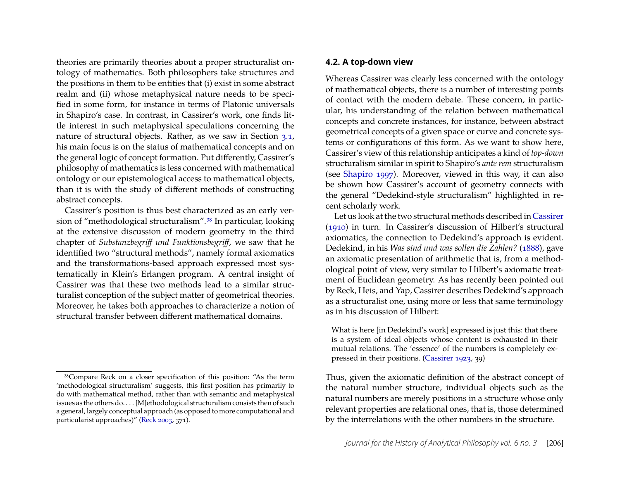theories are primarily theories about a proper structuralist ontology of mathematics. Both philosophers take structures and the positions in them to be entities that (i) exist in some abstract realm and (ii) whose metaphysical nature needs to be specified in some form, for instance in terms of Platonic universals in Shapiro's case. In contrast, in Cassirer's work, one finds little interest in such metaphysical speculations concerning the nature of structural objects. Rather, as we saw in Section [3.1,](#page-8-1) his main focus is on the status of mathematical concepts and on the general logic of concept formation. Put differently, Cassirer's philosophy of mathematics is less concerned with mathematical ontology or our epistemological access to mathematical objects, than it is with the study of different methods of constructing abstract concepts.

Cassirer's position is thus best characterized as an early version of "methodological structuralism".[38](#page-24-1) In particular, looking at the extensive discussion of modern geometry in the third chapter of *Substanzbegriff und Funktionsbegriff*, we saw that he identified two "structural methods", namely formal axiomatics and the transformations-based approach expressed most systematically in Klein's Erlangen program. A central insight of Cassirer was that these two methods lead to a similar structuralist conception of the subject matter of geometrical theories. Moreover, he takes both approaches to characterize a notion of structural transfer between different mathematical domains.

#### <span id="page-24-0"></span>**4.2. A top-down view**

Whereas Cassirer was clearly less concerned with the ontology of mathematical objects, there is a number of interesting points of contact with the modern debate. These concern, in particular, his understanding of the relation between mathematical concepts and concrete instances, for instance, between abstract geometrical concepts of a given space or curve and concrete systems or configurations of this form. As we want to show here, Cassirer's view of this relationship anticipates a kind of *top-down* structuralism similar in spirit to Shapiro's *ante rem* structuralism (see [Shapiro 1997\)](#page-30-23). Moreover, viewed in this way, it can also be shown how Cassirer's account of geometry connects with the general "Dedekind-style structuralism" highlighted in recent scholarly work.

Let us look at the two structural methods described in [Cassirer](#page-29-0) [\(1910\)](#page-29-0) in turn. In Cassirer's discussion of Hilbert's structural axiomatics, the connection to Dedekind's approach is evident. Dedekind, in his *Was sind und was sollen die Zahlen?* [\(1888\)](#page-29-18), gave an axiomatic presentation of arithmetic that is, from a methodological point of view, very similar to Hilbert's axiomatic treatment of Euclidean geometry. As has recently been pointed out by Reck, Heis, and Yap, Cassirer describes Dedekind's approach as a structuralist one, using more or less that same terminology as in his discussion of Hilbert:

What is here [in Dedekind's work] expressed is just this: that there is a system of ideal objects whose content is exhausted in their mutual relations. The 'essence' of the numbers is completely expressed in their positions. [\(Cassirer 1923,](#page-29-8) 39)

Thus, given the axiomatic definition of the abstract concept of the natural number structure, individual objects such as the natural numbers are merely positions in a structure whose only relevant properties are relational ones, that is, those determined by the interrelations with the other numbers in the structure.

<span id="page-24-1"></span><sup>38</sup>Compare Reck on a closer specification of this position: "As the term 'methodological structuralism' suggests, this first position has primarily to do with mathematical method, rather than with semantic and metaphysical issues as the others do. . . . [M]ethodological structuralism consists then of such a general, largely conceptual approach (as opposed to more computational and particularist approaches)" [\(Reck 2003,](#page-30-5) 371).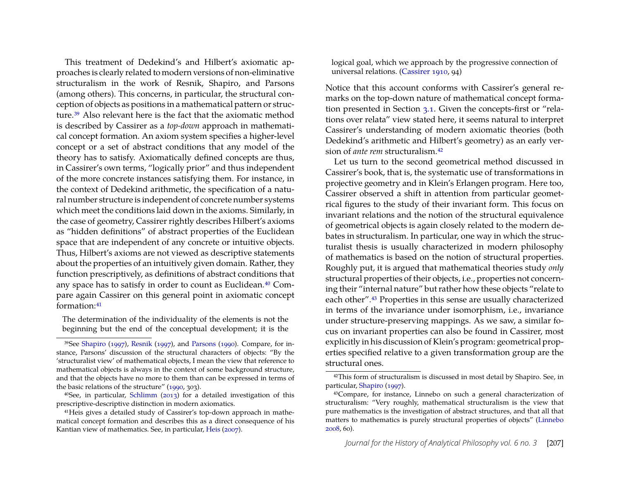This treatment of Dedekind's and Hilbert's axiomatic approaches is clearly related to modern versions of non-eliminative structuralism in the work of Resnik, Shapiro, and Parsons (among others). This concerns, in particular, the structural conception of objects as positions in a mathematical pattern or structure.[39](#page-25-0) Also relevant here is the fact that the axiomatic method is described by Cassirer as a *top-down* approach in mathematical concept formation. An axiom system specifies a higher-level concept or a set of abstract conditions that any model of the theory has to satisfy. Axiomatically defined concepts are thus, in Cassirer's own terms, "logically prior" and thus independent of the more concrete instances satisfying them. For instance, in the context of Dedekind arithmetic, the specification of a natural number structure is independent of concrete number systems which meet the conditions laid down in the axioms. Similarly, in the case of geometry, Cassirer rightly describes Hilbert's axioms as "hidden definitions" of abstract properties of the Euclidean space that are independent of any concrete or intuitive objects. Thus, Hilbert's axioms are not viewed as descriptive statements about the properties of an intuitively given domain. Rather, they function prescriptively, as definitions of abstract conditions that any space has to satisfy in order to count as Euclidean.[40](#page-25-1) Compare again Cassirer on this general point in axiomatic concept formation:[41](#page-25-2)

The determination of the individuality of the elements is not the beginning but the end of the conceptual development; it is the

<span id="page-25-1"></span>40See, in particular, [Schlimm](#page-30-26) [\(2013\)](#page-30-26) for a detailed investigation of this prescriptive-descriptive distinction in modern axiomatics.

logical goal, which we approach by the progressive connection of universal relations. [\(Cassirer 1910,](#page-29-0) 94)

Notice that this account conforms with Cassirer's general remarks on the top-down nature of mathematical concept formation presented in Section [3.1.](#page-8-1) Given the concepts-first or "relations over relata" view stated here, it seems natural to interpret Cassirer's understanding of modern axiomatic theories (both Dedekind's arithmetic and Hilbert's geometry) as an early version of *ante rem* structuralism.[42](#page-25-3)

Let us turn to the second geometrical method discussed in Cassirer's book, that is, the systematic use of transformations in projective geometry and in Klein's Erlangen program. Here too, Cassirer observed a shift in attention from particular geometrical figures to the study of their invariant form. This focus on invariant relations and the notion of the structural equivalence of geometrical objects is again closely related to the modern debates in structuralism. In particular, one way in which the structuralist thesis is usually characterized in modern philosophy of mathematics is based on the notion of structural properties. Roughly put, it is argued that mathematical theories study *only* structural properties of their objects, i.e., properties not concerning their "internal nature" but rather how these objects "relate to each other".[43](#page-25-4) Properties in this sense are usually characterized in terms of the invariance under isomorphism, i.e., invariance under structure-preserving mappings. As we saw, a similar focus on invariant properties can also be found in Cassirer, most explicitly in his discussion of Klein's program: geometrical properties specified relative to a given transformation group are the structural ones.

<span id="page-25-0"></span><sup>39</sup>See [Shapiro](#page-30-23) [\(1997\)](#page-30-23), [Resnik](#page-30-25) [\(1997\)](#page-30-25), and [Parsons](#page-30-24) [\(1990\)](#page-30-24). Compare, for instance, Parsons' discussion of the structural characters of objects: "By the 'structuralist view' of mathematical objects, I mean the view that reference to mathematical objects is always in the context of some background structure, and that the objects have no more to them than can be expressed in terms of the basic relations of the structure" [\(1990,](#page-30-24) 303).

<span id="page-25-2"></span><sup>41</sup>Heis gives a detailed study of Cassirer's top-down approach in mathematical concept formation and describes this as a direct consequence of his Kantian view of mathematics. See, in particular, [Heis](#page-29-3) [\(2007\)](#page-29-3).

<span id="page-25-3"></span><sup>42</sup>This form of structuralism is discussed in most detail by Shapiro. See, in particular, [Shapiro](#page-30-23) [\(1997\)](#page-30-23).

<span id="page-25-4"></span><sup>43</sup>Compare, for instance, Linnebo on such a general characterization of structuralism: "Very roughly, mathematical structuralism is the view that pure mathematics is the investigation of abstract structures, and that all that matters to mathematics is purely structural properties of objects" [\(Linnebo](#page-30-27) [2008,](#page-30-27) 60).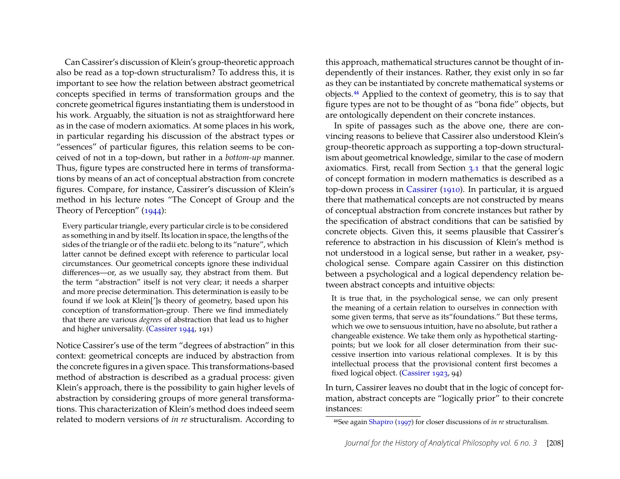Can Cassirer's discussion of Klein's group-theoretic approach also be read as a top-down structuralism? To address this, it is important to see how the relation between abstract geometrical concepts specified in terms of transformation groups and the concrete geometrical figures instantiating them is understood in his work. Arguably, the situation is not as straightforward here as in the case of modern axiomatics. At some places in his work, in particular regarding his discussion of the abstract types or "essences" of particular figures, this relation seems to be conceived of not in a top-down, but rather in a *bottom-up* manner. Thus, figure types are constructed here in terms of transformations by means of an act of conceptual abstraction from concrete figures. Compare, for instance, Cassirer's discussion of Klein's method in his lecture notes "The Concept of Group and the Theory of Perception" [\(1944\)](#page-29-9):

Every particular triangle, every particular circle is to be considered as something in and by itself. Its location in space, the lengths of the sides of the triangle or of the radii etc. belong to its "nature", which latter cannot be defined except with reference to particular local circumstances. Our geometrical concepts ignore these individual differences—or, as we usually say, they abstract from them. But the term "abstraction" itself is not very clear; it needs a sharper and more precise determination. This determination is easily to be found if we look at Klein[']s theory of geometry, based upon his conception of transformation-group. There we find immediately that there are various *degrees* of abstraction that lead us to higher and higher universality. [\(Cassirer 1944,](#page-29-9) 191)

Notice Cassirer's use of the term "degrees of abstraction" in this context: geometrical concepts are induced by abstraction from the concrete figures in a given space. This transformations-based method of abstraction is described as a gradual process: given Klein's approach, there is the possibility to gain higher levels of abstraction by considering groups of more general transformations. This characterization of Klein's method does indeed seem related to modern versions of *in re* structuralism. According to

this approach, mathematical structures cannot be thought of independently of their instances. Rather, they exist only in so far as they can be instantiated by concrete mathematical systems or objects.[44](#page-26-0) Applied to the context of geometry, this is to say that figure types are not to be thought of as "bona fide" objects, but are ontologically dependent on their concrete instances.

In spite of passages such as the above one, there are convincing reasons to believe that Cassirer also understood Klein's group-theoretic approach as supporting a top-down structuralism about geometrical knowledge, similar to the case of modern axiomatics. First, recall from Section [3.1](#page-8-1) that the general logic of concept formation in modern mathematics is described as a top-down process in [Cassirer](#page-29-0) [\(1910\)](#page-29-0). In particular, it is argued there that mathematical concepts are not constructed by means of conceptual abstraction from concrete instances but rather by the specification of abstract conditions that can be satisfied by concrete objects. Given this, it seems plausible that Cassirer's reference to abstraction in his discussion of Klein's method is not understood in a logical sense, but rather in a weaker, psychological sense. Compare again Cassirer on this distinction between a psychological and a logical dependency relation between abstract concepts and intuitive objects:

It is true that, in the psychological sense, we can only present the meaning of a certain relation to ourselves in connection with some given terms, that serve as its"foundations." But these terms, which we owe to sensuous intuition, have no absolute, but rather a changeable existence. We take them only as hypothetical startingpoints; but we look for all closer determination from their successive insertion into various relational complexes. It is by this intellectual process that the provisional content first becomes a fixed logical object. [\(Cassirer 1923,](#page-29-8) 94)

In turn, Cassirer leaves no doubt that in the logic of concept formation, abstract concepts are "logically prior" to their concrete instances:

<span id="page-26-0"></span><sup>44</sup>See again [Shapiro](#page-30-23) [\(1997\)](#page-30-23) for closer discussions of *in re* structuralism.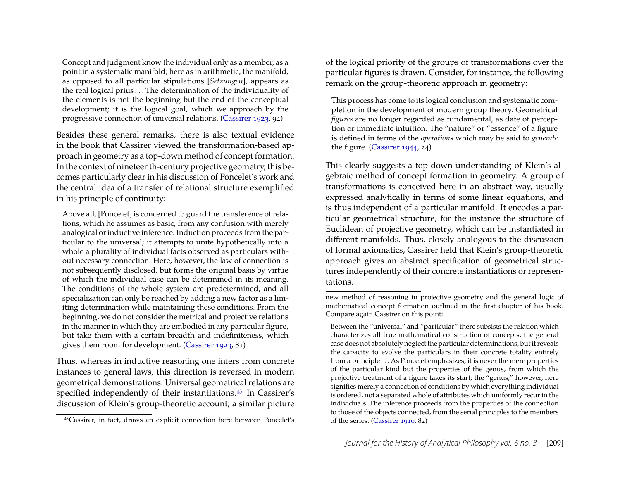Concept and judgment know the individual only as a member, as a point in a systematic manifold; here as in arithmetic, the manifold, as opposed to all particular stipulations [*Setzungen*], appears as the real logical prius . . . The determination of the individuality of the elements is not the beginning but the end of the conceptual development; it is the logical goal, which we approach by the progressive connection of universal relations. [\(Cassirer 1923,](#page-29-8) 94)

Besides these general remarks, there is also textual evidence in the book that Cassirer viewed the transformation-based approach in geometry as a top-down method of concept formation. In the context of nineteenth-century projective geometry, this becomes particularly clear in his discussion of Poncelet's work and the central idea of a transfer of relational structure exemplified in his principle of continuity:

Above all, [Poncelet] is concerned to guard the transference of relations, which he assumes as basic, from any confusion with merely analogical or inductive inference. Induction proceeds from the particular to the universal; it attempts to unite hypothetically into a whole a plurality of individual facts observed as particulars without necessary connection. Here, however, the law of connection is not subsequently disclosed, but forms the original basis by virtue of which the individual case can be determined in its meaning. The conditions of the whole system are predetermined, and all specialization can only be reached by adding a new factor as a limiting determination while maintaining these conditions. From the beginning, we do not consider the metrical and projective relations in the manner in which they are embodied in any particular figure, but take them with a certain breadth and indefiniteness, which gives them room for development. [\(Cassirer 1923,](#page-29-8) 81)

Thus, whereas in inductive reasoning one infers from concrete instances to general laws, this direction is reversed in modern geometrical demonstrations. Universal geometrical relations are specified independently of their instantiations.<sup>[45](#page-27-0)</sup> In Cassirer's discussion of Klein's group-theoretic account, a similar picture of the logical priority of the groups of transformations over the particular figures is drawn. Consider, for instance, the following remark on the group-theoretic approach in geometry:

This process has come to its logical conclusion and systematic completion in the development of modern group theory. Geometrical *figures* are no longer regarded as fundamental, as date of perception or immediate intuition. The "nature" or "essence" of a figure is defined in terms of the *operations* which may be said to *generate* the figure. [\(Cassirer 1944,](#page-29-9) 24)

This clearly suggests a top-down understanding of Klein's algebraic method of concept formation in geometry. A group of transformations is conceived here in an abstract way, usually expressed analytically in terms of some linear equations, and is thus independent of a particular manifold. It encodes a particular geometrical structure, for the instance the structure of Euclidean of projective geometry, which can be instantiated in different manifolds. Thus, closely analogous to the discussion of formal axiomatics, Cassirer held that Klein's group-theoretic approach gives an abstract specification of geometrical structures independently of their concrete instantiations or representations.

<span id="page-27-0"></span><sup>45</sup>Cassirer, in fact, draws an explicit connection here between Poncelet's

new method of reasoning in projective geometry and the general logic of mathematical concept formation outlined in the first chapter of his book. Compare again Cassirer on this point:

Between the "universal" and "particular" there subsists the relation which characterizes all true mathematical construction of concepts; the general case does not absolutely neglect the particular determinations, but it reveals the capacity to evolve the particulars in their concrete totality entirely from a principle . . . As Poncelet emphasizes, it is never the mere properties of the particular kind but the properties of the genus, from which the projective treatment of a figure takes its start; the "genus," however, here signifies merely a connection of conditions by which everything individual is ordered, not a separated whole of attributes which uniformly recur in the individuals. The inference proceeds from the properties of the connection to those of the objects connected, from the serial principles to the members of the series. [\(Cassirer 1910,](#page-29-0) 82)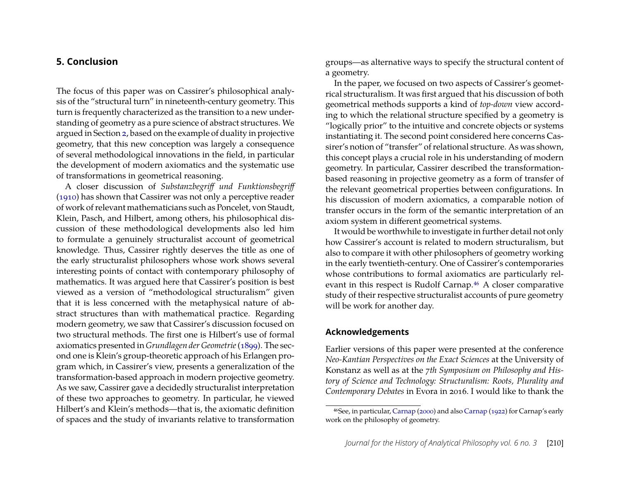## <span id="page-28-0"></span>**5. Conclusion**

The focus of this paper was on Cassirer's philosophical analysis of the "structural turn" in nineteenth-century geometry. This turn is frequently characterized as the transition to a new understanding of geometry as a pure science of abstract structures. We argued in Section [2,](#page-2-0) based on the example of duality in projective geometry, that this new conception was largely a consequence of several methodological innovations in the field, in particular the development of modern axiomatics and the systematic use of transformations in geometrical reasoning.

A closer discussion of *Substanzbegriff und Funktionsbegriff* [\(1910\)](#page-29-0) has shown that Cassirer was not only a perceptive reader of work of relevant mathematicians such as Poncelet, von Staudt, Klein, Pasch, and Hilbert, among others, his philosophical discussion of these methodological developments also led him to formulate a genuinely structuralist account of geometrical knowledge. Thus, Cassirer rightly deserves the title as one of the early structuralist philosophers whose work shows several interesting points of contact with contemporary philosophy of mathematics. It was argued here that Cassirer's position is best viewed as a version of "methodological structuralism" given that it is less concerned with the metaphysical nature of abstract structures than with mathematical practice. Regarding modern geometry, we saw that Cassirer's discussion focused on two structural methods. The first one is Hilbert's use of formal axiomatics presented in *Grundlagen der Geometrie*[\(1899\)](#page-30-6). The second one is Klein's group-theoretic approach of his Erlangen program which, in Cassirer's view, presents a generalization of the transformation-based approach in modern projective geometry. As we saw, Cassirer gave a decidedly structuralist interpretation of these two approaches to geometry. In particular, he viewed Hilbert's and Klein's methods—that is, the axiomatic definition of spaces and the study of invariants relative to transformation groups—as alternative ways to specify the structural content of a geometry.

In the paper, we focused on two aspects of Cassirer's geometrical structuralism. It was first argued that his discussion of both geometrical methods supports a kind of *top-down* view according to which the relational structure specified by a geometry is "logically prior" to the intuitive and concrete objects or systems instantiating it. The second point considered here concerns Cassirer's notion of "transfer" of relational structure. As was shown, this concept plays a crucial role in his understanding of modern geometry. In particular, Cassirer described the transformationbased reasoning in projective geometry as a form of transfer of the relevant geometrical properties between configurations. In his discussion of modern axiomatics, a comparable notion of transfer occurs in the form of the semantic interpretation of an axiom system in different geometrical systems.

It would be worthwhile to investigate in further detail not only how Cassirer's account is related to modern structuralism, but also to compare it with other philosophers of geometry working in the early twentieth-century. One of Cassirer's contemporaries whose contributions to formal axiomatics are particularly rel-evant in this respect is Rudolf Carnap.<sup>[46](#page-28-1)</sup> A closer comparative study of their respective structuralist accounts of pure geometry will be work for another day.

#### **Acknowledgements**

Earlier versions of this paper were presented at the conference *Neo-Kantian Perspectives on the Exact Sciences* at the University of Konstanz as well as at the *7th Symposium on Philosophy and History of Science and Technology: Structuralism: Roots, Plurality and Contemporary Debates* in Evora in 2016. I would like to thank the

<span id="page-28-1"></span><sup>46</sup>See, in particular, [Carnap](#page-29-19) [\(2000\)](#page-29-19) and also [Carnap](#page-29-20) [\(1922\)](#page-29-20) for Carnap's early work on the philosophy of geometry.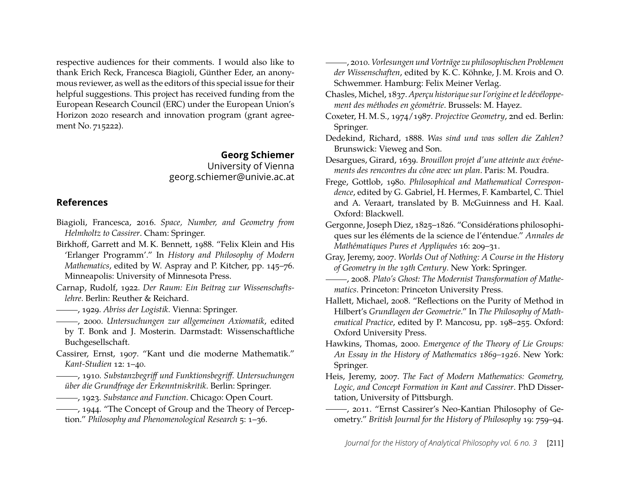respective audiences for their comments. I would also like to thank Erich Reck, Francesca Biagioli, Günther Eder, an anonymous reviewer, as well as the editors of this special issue for their helpful suggestions. This project has received funding from the European Research Council (ERC) under the European Union's Horizon 2020 research and innovation program (grant agreement No. 715222).

#### **Georg Schiemer** University of Vienna georg.schiemer@univie.ac.at

## **References**

- <span id="page-29-2"></span>Biagioli, Francesca, 2016. *Space, Number, and Geometry from Helmholtz to Cassirer*. Cham: Springer.
- <span id="page-29-12"></span>Birkhoff, Garrett and M. K. Bennett, 1988. "Felix Klein and His 'Erlanger Programm'." In *History and Philosophy of Modern Mathematics*, edited by W. Aspray and P. Kitcher, pp. 145–76. Minneapolis: University of Minnesota Press.
- <span id="page-29-20"></span>Carnap, Rudolf, 1922. *Der Raum: Ein Beitrag zur Wissenschaftslehre*. Berlin: Reuther & Reichard.
- <span id="page-29-15"></span>, 1929. *Abriss der Logistik*. Vienna: Springer.
- <span id="page-29-19"></span>, 2000. *Untersuchungen zur allgemeinen Axiomatik*, edited by T. Bonk and J. Mosterin. Darmstadt: Wissenschaftliche Buchgesellschaft.
- <span id="page-29-13"></span>Cassirer, Ernst, 1907. "Kant und die moderne Mathematik." *Kant-Studien* 12: 1–40.
- <span id="page-29-0"></span>, 1910. *Substanzbegriff und Funktionsbegriff. Untersuchungen über die Grundfrage der Erkenntniskritik*. Berlin: Springer.
- <span id="page-29-9"></span><span id="page-29-8"></span>, 1923. *Substance and Function*. Chicago: Open Court.
- , 1944. "The Concept of Group and the Theory of Perception." *Philosophy and Phenomenological Research* 5: 1–36.
- <span id="page-29-10"></span>, 2010. *Vorlesungen und Vorträge zu philosophischen Problemen der Wissenschaften*, edited by K. C. Köhnke, J. M. Krois and O. Schwemmer. Hamburg: Felix Meiner Verlag.
- <span id="page-29-7"></span>Chasles, Michel, 1837. *Aperçu historique sur l'origine et le dévéloppement des méthodes en géométrie*. Brussels: M. Hayez.
- <span id="page-29-6"></span>Coxeter, H. M. S., 1974/1987. *Projective Geometry*, 2nd ed. Berlin: Springer.
- <span id="page-29-18"></span>Dedekind, Richard, 1888. *Was sind und was sollen die Zahlen?* Brunswick: Vieweg and Son.
- <span id="page-29-5"></span>Desargues, Girard, 1639. *Brouillon projet d'une atteinte aux événements des rencontres du cône avec un plan*. Paris: M. Poudra.
- <span id="page-29-16"></span>Frege, Gottlob, 1980. *Philosophical and Mathematical Correspondence*, edited by G. Gabriel, H. Hermes, F. Kambartel, C. Thiel and A. Veraart, translated by B. McGuinness and H. Kaal. Oxford: Blackwell.
- Gergonne, Joseph Diez, 1825–1826. "Considérations philosophiques sur les éléments de la science de l'éntendue." *Annales de Mathématiques Pures et Appliquées* 16: 209–31.
- <span id="page-29-4"></span>Gray, Jeremy, 2007. *Worlds Out of Nothing: A Course in the History of Geometry in the 19th Century*. New York: Springer.
- <span id="page-29-14"></span>, 2008. *Plato's Ghost: The Modernist Transformation of Mathematics*. Princeton: Princeton University Press.
- <span id="page-29-17"></span>Hallett, Michael, 2008. "Reflections on the Purity of Method in Hilbert's *Grundlagen der Geometrie*." In *The Philosophy of Mathematical Practice*, edited by P. Mancosu, pp. 198–255. Oxford: Oxford University Press.
- <span id="page-29-11"></span>Hawkins, Thomas, 2000. *Emergence of the Theory of Lie Groups: An Essay in the History of Mathematics 1869–1926*. New York: Springer.
- <span id="page-29-3"></span>Heis, Jeremy, 2007. *The Fact of Modern Mathematics: Geometry, Logic, and Concept Formation in Kant and Cassirer*. PhD Dissertation, University of Pittsburgh.
- <span id="page-29-1"></span>, 2011. "Ernst Cassirer's Neo-Kantian Philosophy of Geometry." *British Journal for the History of Philosophy* 19: 759–94.